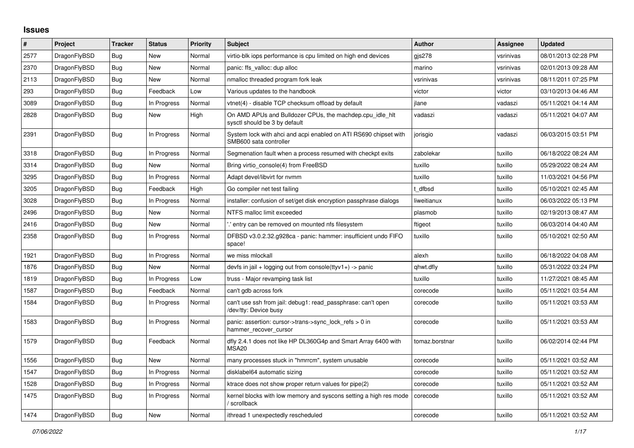## **Issues**

| $\#$ | <b>Project</b> | <b>Tracker</b> | <b>Status</b> | <b>Priority</b> | <b>Subject</b>                                                                             | <b>Author</b>  | <b>Assignee</b> | <b>Updated</b>      |
|------|----------------|----------------|---------------|-----------------|--------------------------------------------------------------------------------------------|----------------|-----------------|---------------------|
| 2577 | DragonFlyBSD   | Bug            | <b>New</b>    | Normal          | virtio-blk iops performance is cpu limited on high end devices                             | gis278         | vsrinivas       | 08/01/2013 02:28 PM |
| 2370 | DragonFlyBSD   | Bug            | <b>New</b>    | Normal          | panic: ffs valloc: dup alloc                                                               | marino         | vsrinivas       | 02/01/2013 09:28 AM |
| 2113 | DragonFlyBSD   | Bug            | New           | Normal          | nmalloc threaded program fork leak                                                         | vsrinivas      | vsrinivas       | 08/11/2011 07:25 PM |
| 293  | DragonFlyBSD   | <b>Bug</b>     | Feedback      | Low             | Various updates to the handbook                                                            | victor         | victor          | 03/10/2013 04:46 AM |
| 3089 | DragonFlyBSD   | Bug            | In Progress   | Normal          | vtnet(4) - disable TCP checksum offload by default                                         | jlane          | vadaszi         | 05/11/2021 04:14 AM |
| 2828 | DragonFlyBSD   | <b>Bug</b>     | New           | High            | On AMD APUs and Bulldozer CPUs, the machdep.cpu_idle_hlt<br>sysctl should be 3 by default  | vadaszi        | vadaszi         | 05/11/2021 04:07 AM |
| 2391 | DragonFlyBSD   | <b>Bug</b>     | In Progress   | Normal          | System lock with ahci and acpi enabled on ATI RS690 chipset with<br>SMB600 sata controller | jorisgio       | vadaszi         | 06/03/2015 03:51 PM |
| 3318 | DragonFlyBSD   | Bug            | In Progress   | Normal          | Segmenation fault when a process resumed with checkpt exits                                | zabolekar      | tuxillo         | 06/18/2022 08:24 AM |
| 3314 | DragonFlyBSD   | <b>Bug</b>     | New           | Normal          | Bring virtio_console(4) from FreeBSD                                                       | tuxillo        | tuxillo         | 05/29/2022 08:24 AM |
| 3295 | DragonFlyBSD   | Bug            | In Progress   | Normal          | Adapt devel/libvirt for nymm                                                               | tuxillo        | tuxillo         | 11/03/2021 04:56 PM |
| 3205 | DragonFlyBSD   | <b>Bug</b>     | Feedback      | High            | Go compiler net test failing                                                               | t dfbsd        | tuxillo         | 05/10/2021 02:45 AM |
| 3028 | DragonFlyBSD   | Bug            | In Progress   | Normal          | installer: confusion of set/get disk encryption passphrase dialogs                         | liweitianux    | tuxillo         | 06/03/2022 05:13 PM |
| 2496 | DragonFlyBSD   | <b>Bug</b>     | New           | Normal          | NTFS malloc limit exceeded                                                                 | plasmob        | tuxillo         | 02/19/2013 08:47 AM |
| 2416 | DragonFlyBSD   | Bug            | New           | Normal          | ".' entry can be removed on mounted nfs filesystem                                         | ftigeot        | tuxillo         | 06/03/2014 04:40 AM |
| 2358 | DragonFlyBSD   | Bug            | In Progress   | Normal          | DFBSD v3.0.2.32.g928ca - panic: hammer: insufficient undo FIFO<br>space!                   | tuxillo        | tuxillo         | 05/10/2021 02:50 AM |
| 1921 | DragonFlyBSD   | <b>Bug</b>     | In Progress   | Normal          | we miss mlockall                                                                           | alexh          | tuxillo         | 06/18/2022 04:08 AM |
| 1876 | DragonFlyBSD   | <b>Bug</b>     | <b>New</b>    | Normal          | devfs in jail + logging out from console(ttyv1+) -> panic                                  | qhwt.dfly      | tuxillo         | 05/31/2022 03:24 PM |
| 1819 | DragonFlyBSD   | Bug            | In Progress   | Low             | truss - Major revamping task list                                                          | tuxillo        | tuxillo         | 11/27/2021 08:45 AM |
| 1587 | DragonFlyBSD   | <b>Bug</b>     | Feedback      | Normal          | can't gdb across fork                                                                      | corecode       | tuxillo         | 05/11/2021 03:54 AM |
| 1584 | DragonFlyBSD   | Bug            | In Progress   | Normal          | can't use ssh from jail: debug1: read passphrase: can't open<br>/dev/tty: Device busy      | corecode       | tuxillo         | 05/11/2021 03:53 AM |
| 1583 | DragonFlyBSD   | Bug            | In Progress   | Normal          | panic: assertion: cursor->trans->sync_lock_refs > 0 in<br>hammer recover cursor            | corecode       | tuxillo         | 05/11/2021 03:53 AM |
| 1579 | DragonFlyBSD   | Bug            | Feedback      | Normal          | dfly 2.4.1 does not like HP DL360G4p and Smart Array 6400 with<br><b>MSA20</b>             | tomaz.borstnar | tuxillo         | 06/02/2014 02:44 PM |
| 1556 | DragonFlyBSD   | <b>Bug</b>     | New           | Normal          | many processes stuck in "hmrrcm", system unusable                                          | corecode       | tuxillo         | 05/11/2021 03:52 AM |
| 1547 | DragonFlyBSD   | Bug            | In Progress   | Normal          | disklabel64 automatic sizing                                                               | corecode       | tuxillo         | 05/11/2021 03:52 AM |
| 1528 | DragonFlyBSD   | Bug            | In Progress   | Normal          | ktrace does not show proper return values for pipe(2)                                      | corecode       | tuxillo         | 05/11/2021 03:52 AM |
| 1475 | DragonFlyBSD   | <b>Bug</b>     | In Progress   | Normal          | kernel blocks with low memory and syscons setting a high res mode<br>/ scrollback          | corecode       | tuxillo         | 05/11/2021 03:52 AM |
| 1474 | DragonFlyBSD   | <b>Bug</b>     | <b>New</b>    | Normal          | ithread 1 unexpectedly rescheduled                                                         | corecode       | tuxillo         | 05/11/2021 03:52 AM |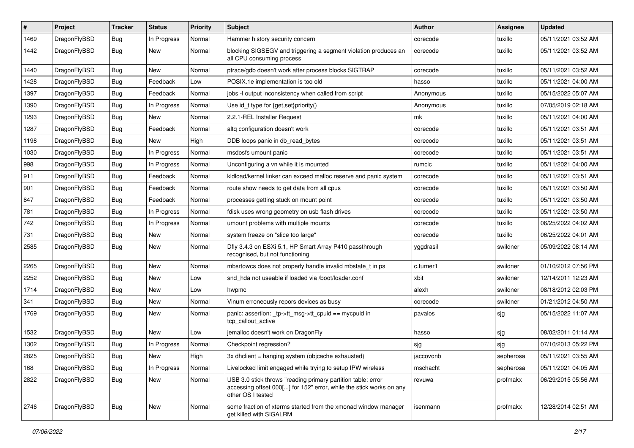| #    | Project      | <b>Tracker</b> | <b>Status</b> | <b>Priority</b> | Subject                                                                                                                                                  | <b>Author</b> | Assignee  | <b>Updated</b>      |
|------|--------------|----------------|---------------|-----------------|----------------------------------------------------------------------------------------------------------------------------------------------------------|---------------|-----------|---------------------|
| 1469 | DragonFlyBSD | <b>Bug</b>     | In Progress   | Normal          | Hammer history security concern                                                                                                                          | corecode      | tuxillo   | 05/11/2021 03:52 AM |
| 1442 | DragonFlyBSD | <b>Bug</b>     | New           | Normal          | blocking SIGSEGV and triggering a segment violation produces an<br>all CPU consuming process                                                             | corecode      | tuxillo   | 05/11/2021 03:52 AM |
| 1440 | DragonFlyBSD | Bug            | New           | Normal          | ptrace/gdb doesn't work after process blocks SIGTRAP                                                                                                     | corecode      | tuxillo   | 05/11/2021 03:52 AM |
| 1428 | DragonFlyBSD | <b>Bug</b>     | Feedback      | Low             | POSIX.1e implementation is too old                                                                                                                       | hasso         | tuxillo   | 05/11/2021 04:00 AM |
| 1397 | DragonFlyBSD | <b>Bug</b>     | Feedback      | Normal          | jobs -I output inconsistency when called from script                                                                                                     | Anonymous     | tuxillo   | 05/15/2022 05:07 AM |
| 1390 | DragonFlyBSD | <b>Bug</b>     | In Progress   | Normal          | Use id_t type for {get,set}priority()                                                                                                                    | Anonymous     | tuxillo   | 07/05/2019 02:18 AM |
| 1293 | DragonFlyBSD | <b>Bug</b>     | New           | Normal          | 2.2.1-REL Installer Request                                                                                                                              | mk            | tuxillo   | 05/11/2021 04:00 AM |
| 1287 | DragonFlyBSD | <b>Bug</b>     | Feedback      | Normal          | altq configuration doesn't work                                                                                                                          | corecode      | tuxillo   | 05/11/2021 03:51 AM |
| 1198 | DragonFlyBSD | Bug            | New           | High            | DDB loops panic in db read bytes                                                                                                                         | corecode      | tuxillo   | 05/11/2021 03:51 AM |
| 1030 | DragonFlyBSD | <b>Bug</b>     | In Progress   | Normal          | msdosfs umount panic                                                                                                                                     | corecode      | tuxillo   | 05/11/2021 03:51 AM |
| 998  | DragonFlyBSD | <b>Bug</b>     | In Progress   | Normal          | Unconfiguring a vn while it is mounted                                                                                                                   | rumcic        | tuxillo   | 05/11/2021 04:00 AM |
| 911  | DragonFlyBSD | <b>Bug</b>     | Feedback      | Normal          | kidload/kernel linker can exceed malloc reserve and panic system                                                                                         | corecode      | tuxillo   | 05/11/2021 03:51 AM |
| 901  | DragonFlyBSD | Bug            | Feedback      | Normal          | route show needs to get data from all cpus                                                                                                               | corecode      | tuxillo   | 05/11/2021 03:50 AM |
| 847  | DragonFlyBSD | Bug            | Feedback      | Normal          | processes getting stuck on mount point                                                                                                                   | corecode      | tuxillo   | 05/11/2021 03:50 AM |
| 781  | DragonFlyBSD | Bug            | In Progress   | Normal          | fdisk uses wrong geometry on usb flash drives                                                                                                            | corecode      | tuxillo   | 05/11/2021 03:50 AM |
| 742  | DragonFlyBSD | Bug            | In Progress   | Normal          | umount problems with multiple mounts                                                                                                                     | corecode      | tuxillo   | 06/25/2022 04:02 AM |
| 731  | DragonFlyBSD | Bug            | New           | Normal          | system freeze on "slice too large"                                                                                                                       | corecode      | tuxillo   | 06/25/2022 04:01 AM |
| 2585 | DragonFlyBSD | Bug            | New           | Normal          | Dfly 3.4.3 on ESXi 5.1, HP Smart Array P410 passthrough<br>recognised, but not functioning                                                               | yggdrasil     | swildner  | 05/09/2022 08:14 AM |
| 2265 | DragonFlyBSD | Bug            | New           | Normal          | mbsrtowcs does not properly handle invalid mbstate t in ps                                                                                               | c.turner1     | swildner  | 01/10/2012 07:56 PM |
| 2252 | DragonFlyBSD | Bug            | New           | Low             | snd hda not useable if loaded via /boot/loader.conf                                                                                                      | xbit          | swildner  | 12/14/2011 12:23 AM |
| 1714 | DragonFlyBSD | Bug            | New           | Low             | hwpmc                                                                                                                                                    | alexh         | swildner  | 08/18/2012 02:03 PM |
| 341  | DragonFlyBSD | Bug            | New           | Normal          | Vinum erroneously repors devices as busy                                                                                                                 | corecode      | swildner  | 01/21/2012 04:50 AM |
| 1769 | DragonFlyBSD | Bug            | New           | Normal          | panic: assertion: _tp->tt_msg->tt_cpuid == mycpuid in<br>tcp_callout_active                                                                              | pavalos       | sjg       | 05/15/2022 11:07 AM |
| 1532 | DragonFlyBSD | Bug            | <b>New</b>    | Low             | jemalloc doesn't work on DragonFly                                                                                                                       | hasso         | sjg       | 08/02/2011 01:14 AM |
| 1302 | DragonFlyBSD | Bug            | In Progress   | Normal          | Checkpoint regression?                                                                                                                                   | sjg           | sjg       | 07/10/2013 05:22 PM |
| 2825 | DragonFlyBSD | Bug            | <b>New</b>    | High            | 3x dhclient = hanging system (objcache exhausted)                                                                                                        | jaccovonb     | sepherosa | 05/11/2021 03:55 AM |
| 168  | DragonFlyBSD | Bug            | In Progress   | Normal          | Livelocked limit engaged while trying to setup IPW wireless                                                                                              | mschacht      | sepherosa | 05/11/2021 04:05 AM |
| 2822 | DragonFlyBSD | <b>Bug</b>     | New           | Normal          | USB 3.0 stick throws "reading primary partition table: error<br>accessing offset 000[] for 152" error, while the stick works on any<br>other OS I tested | revuwa        | profmakx  | 06/29/2015 05:56 AM |
| 2746 | DragonFlyBSD | <b>Bug</b>     | New           | Normal          | some fraction of xterms started from the xmonad window manager<br>get killed with SIGALRM                                                                | isenmann      | profmakx  | 12/28/2014 02:51 AM |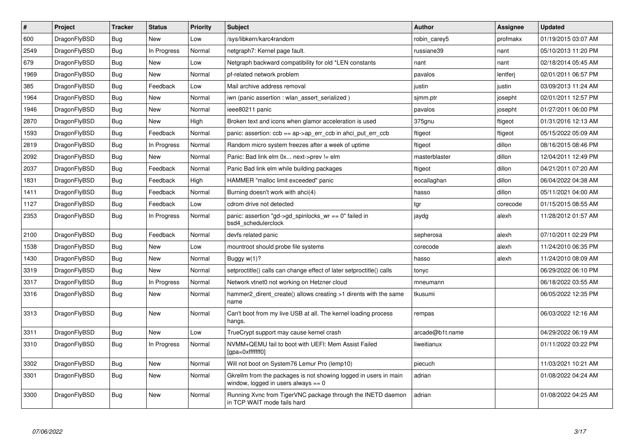| $\#$ | Project      | <b>Tracker</b> | <b>Status</b> | <b>Priority</b> | <b>Subject</b>                                                                                            | <b>Author</b>   | Assignee | <b>Updated</b>      |
|------|--------------|----------------|---------------|-----------------|-----------------------------------------------------------------------------------------------------------|-----------------|----------|---------------------|
| 600  | DragonFlyBSD | <b>Bug</b>     | <b>New</b>    | Low             | /sys/libkern/karc4random                                                                                  | robin carey5    | profmakx | 01/19/2015 03:07 AM |
| 2549 | DragonFlyBSD | <b>Bug</b>     | In Progress   | Normal          | netgraph7: Kernel page fault.                                                                             | russiane39      | nant     | 05/10/2013 11:20 PM |
| 679  | DragonFlyBSD | Bug            | <b>New</b>    | Low             | Netgraph backward compatibility for old *LEN constants                                                    | nant            | nant     | 02/18/2014 05:45 AM |
| 1969 | DragonFlyBSD | <b>Bug</b>     | <b>New</b>    | Normal          | pf-related network problem                                                                                | pavalos         | lentferj | 02/01/2011 06:57 PM |
| 385  | DragonFlyBSD | Bug            | Feedback      | Low             | Mail archive address removal                                                                              | justin          | justin   | 03/09/2013 11:24 AM |
| 1964 | DragonFlyBSD | Bug            | <b>New</b>    | Normal          | iwn (panic assertion : wlan_assert_serialized)                                                            | simm.ptr        | josepht  | 02/01/2011 12:57 PM |
| 1946 | DragonFlyBSD | Bug            | <b>New</b>    | Normal          | ieee80211 panic                                                                                           | pavalos         | josepht  | 01/27/2011 06:00 PM |
| 2870 | DragonFlyBSD | <b>Bug</b>     | <b>New</b>    | High            | Broken text and icons when glamor acceleration is used                                                    | 375gnu          | ftigeot  | 01/31/2016 12:13 AM |
| 1593 | DragonFlyBSD | <b>Bug</b>     | Feedback      | Normal          | panic: assertion: $ccb == ap > ap$ err $ccb$ in ahci put err $ccb$                                        | ftigeot         | ftigeot  | 05/15/2022 05:09 AM |
| 2819 | DragonFlyBSD | Bug            | In Progress   | Normal          | Random micro system freezes after a week of uptime                                                        | ftigeot         | dillon   | 08/16/2015 08:46 PM |
| 2092 | DragonFlyBSD | Bug            | <b>New</b>    | Normal          | Panic: Bad link elm 0x next->prev != elm                                                                  | masterblaster   | dillon   | 12/04/2011 12:49 PM |
| 2037 | DragonFlyBSD | Bug            | Feedback      | Normal          | Panic Bad link elm while building packages                                                                | ftigeot         | dillon   | 04/21/2011 07:20 AM |
| 1831 | DragonFlyBSD | Bug            | Feedback      | High            | HAMMER "malloc limit exceeded" panic                                                                      | eocallaghan     | dillon   | 06/04/2022 04:38 AM |
| 1411 | DragonFlyBSD | Bug            | Feedback      | Normal          | Burning doesn't work with ahci(4)                                                                         | hasso           | dillon   | 05/11/2021 04:00 AM |
| 1127 | DragonFlyBSD | <b>Bug</b>     | Feedback      | Low             | cdrom drive not detected                                                                                  | tgr             | corecode | 01/15/2015 08:55 AM |
| 2353 | DragonFlyBSD | Bug            | In Progress   | Normal          | panic: assertion "gd->gd spinlocks $wr == 0$ " failed in<br>bsd4_schedulerclock                           | jaydg           | alexh    | 11/28/2012 01:57 AM |
| 2100 | DragonFlyBSD | <b>Bug</b>     | Feedback      | Normal          | devfs related panic                                                                                       | sepherosa       | alexh    | 07/10/2011 02:29 PM |
| 1538 | DragonFlyBSD | Bug            | <b>New</b>    | Low             | mountroot should probe file systems                                                                       | corecode        | alexh    | 11/24/2010 06:35 PM |
| 1430 | DragonFlyBSD | Bug            | New           | Normal          | Buggy $w(1)$ ?                                                                                            | hasso           | alexh    | 11/24/2010 08:09 AM |
| 3319 | DragonFlyBSD | Bug            | <b>New</b>    | Normal          | setproctitle() calls can change effect of later setproctitle() calls                                      | tonyc           |          | 06/29/2022 06:10 PM |
| 3317 | DragonFlyBSD | <b>Bug</b>     | In Progress   | Normal          | Network vtnet0 not working on Hetzner cloud                                                               | mneumann        |          | 06/18/2022 03:55 AM |
| 3316 | DragonFlyBSD | Bug            | New           | Normal          | hammer2 dirent create() allows creating >1 dirents with the same<br>name                                  | tkusumi         |          | 06/05/2022 12:35 PM |
| 3313 | DragonFlyBSD | <b>Bug</b>     | <b>New</b>    | Normal          | Can't boot from my live USB at all. The kernel loading process<br>hangs.                                  | rempas          |          | 06/03/2022 12:16 AM |
| 3311 | DragonFlyBSD | <b>Bug</b>     | <b>New</b>    | Low             | TrueCrypt support may cause kernel crash                                                                  | arcade@b1t.name |          | 04/29/2022 06:19 AM |
| 3310 | DragonFlyBSD | Bug            | In Progress   | Normal          | NVMM+QEMU fail to boot with UEFI: Mem Assist Failed<br>[gpa=0xfffffff0]                                   | liweitianux     |          | 01/11/2022 03:22 PM |
| 3302 | DragonFlyBSD | Bug            | <b>New</b>    | Normal          | Will not boot on System76 Lemur Pro (lemp10)                                                              | piecuch         |          | 11/03/2021 10:21 AM |
| 3301 | DragonFlyBSD | <b>Bug</b>     | <b>New</b>    | Normal          | Gkrellm from the packages is not showing logged in users in main<br>window, logged in users always $== 0$ | adrian          |          | 01/08/2022 04:24 AM |
| 3300 | DragonFlyBSD | <b>Bug</b>     | New           | Normal          | Running Xvnc from TigerVNC package through the INETD daemon<br>in TCP WAIT mode fails hard                | adrian          |          | 01/08/2022 04:25 AM |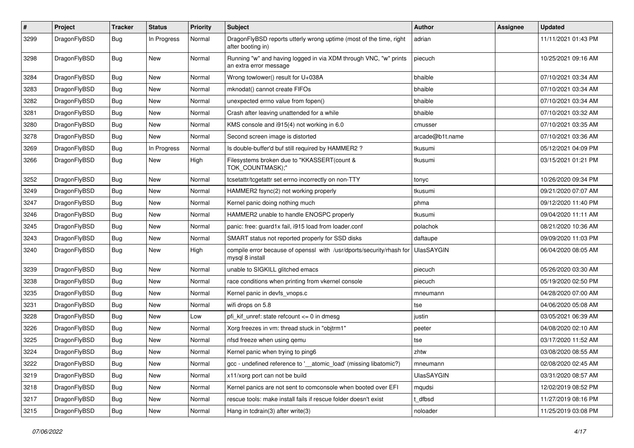| $\pmb{\#}$ | Project      | <b>Tracker</b> | <b>Status</b> | <b>Priority</b> | Subject                                                                                    | Author            | <b>Assignee</b> | <b>Updated</b>      |
|------------|--------------|----------------|---------------|-----------------|--------------------------------------------------------------------------------------------|-------------------|-----------------|---------------------|
| 3299       | DragonFlyBSD | Bug            | In Progress   | Normal          | DragonFlyBSD reports utterly wrong uptime (most of the time, right<br>after booting in)    | adrian            |                 | 11/11/2021 01:43 PM |
| 3298       | DragonFlyBSD | Bug            | <b>New</b>    | Normal          | Running "w" and having logged in via XDM through VNC, "w" prints<br>an extra error message | piecuch           |                 | 10/25/2021 09:16 AM |
| 3284       | DragonFlyBSD | <b>Bug</b>     | <b>New</b>    | Normal          | Wrong towlower() result for U+038A                                                         | bhaible           |                 | 07/10/2021 03:34 AM |
| 3283       | DragonFlyBSD | <b>Bug</b>     | New           | Normal          | mknodat() cannot create FIFOs                                                              | bhaible           |                 | 07/10/2021 03:34 AM |
| 3282       | DragonFlyBSD | Bug            | <b>New</b>    | Normal          | unexpected errno value from fopen()                                                        | bhaible           |                 | 07/10/2021 03:34 AM |
| 3281       | DragonFlyBSD | <b>Bug</b>     | New           | Normal          | Crash after leaving unattended for a while                                                 | bhaible           |                 | 07/10/2021 03:32 AM |
| 3280       | DragonFlyBSD | <b>Bug</b>     | New           | Normal          | KMS console and i915(4) not working in 6.0                                                 | cmusser           |                 | 07/10/2021 03:35 AM |
| 3278       | DragonFlyBSD | <b>Bug</b>     | New           | Normal          | Second screen image is distorted                                                           | arcade@b1t.name   |                 | 07/10/2021 03:36 AM |
| 3269       | DragonFlyBSD | <b>Bug</b>     | In Progress   | Normal          | Is double-buffer'd buf still required by HAMMER2?                                          | tkusumi           |                 | 05/12/2021 04:09 PM |
| 3266       | DragonFlyBSD | Bug            | <b>New</b>    | High            | Filesystems broken due to "KKASSERT(count &<br>TOK_COUNTMASK);"                            | tkusumi           |                 | 03/15/2021 01:21 PM |
| 3252       | DragonFlyBSD | <b>Bug</b>     | <b>New</b>    | Normal          | tcsetattr/tcgetattr set errno incorrectly on non-TTY                                       | tonyc             |                 | 10/26/2020 09:34 PM |
| 3249       | DragonFlyBSD | <b>Bug</b>     | <b>New</b>    | Normal          | HAMMER2 fsync(2) not working properly                                                      | tkusumi           |                 | 09/21/2020 07:07 AM |
| 3247       | DragonFlyBSD | <b>Bug</b>     | New           | Normal          | Kernel panic doing nothing much                                                            | phma              |                 | 09/12/2020 11:40 PM |
| 3246       | DragonFlyBSD | Bug            | New           | Normal          | HAMMER2 unable to handle ENOSPC properly                                                   | tkusumi           |                 | 09/04/2020 11:11 AM |
| 3245       | DragonFlyBSD | <b>Bug</b>     | <b>New</b>    | Normal          | panic: free: guard1x fail, i915 load from loader.conf                                      | polachok          |                 | 08/21/2020 10:36 AM |
| 3243       | DragonFlyBSD | <b>Bug</b>     | New           | Normal          | SMART status not reported properly for SSD disks                                           | daftaupe          |                 | 09/09/2020 11:03 PM |
| 3240       | DragonFlyBSD | Bug            | <b>New</b>    | High            | compile error because of openssl with /usr/dports/security/rhash for<br>mysql 8 install    | <b>UlasSAYGIN</b> |                 | 06/04/2020 08:05 AM |
| 3239       | DragonFlyBSD | <b>Bug</b>     | New           | Normal          | unable to SIGKILL glitched emacs                                                           | piecuch           |                 | 05/26/2020 03:30 AM |
| 3238       | DragonFlyBSD | <b>Bug</b>     | <b>New</b>    | Normal          | race conditions when printing from vkernel console                                         | piecuch           |                 | 05/19/2020 02:50 PM |
| 3235       | DragonFlyBSD | <b>Bug</b>     | New           | Normal          | Kernel panic in devfs_vnops.c                                                              | mneumann          |                 | 04/28/2020 07:00 AM |
| 3231       | DragonFlyBSD | Bug            | New           | Normal          | wifi drops on 5.8                                                                          | tse               |                 | 04/06/2020 05:08 AM |
| 3228       | DragonFlyBSD | <b>Bug</b>     | New           | Low             | pfi_kif_unref: state refcount <= 0 in dmesg                                                | justin            |                 | 03/05/2021 06:39 AM |
| 3226       | DragonFlyBSD | <b>Bug</b>     | New           | Normal          | Xorg freezes in vm: thread stuck in "objtrm1"                                              | peeter            |                 | 04/08/2020 02:10 AM |
| 3225       | DragonFlyBSD | <b>Bug</b>     | <b>New</b>    | Normal          | nfsd freeze when using gemu                                                                | tse               |                 | 03/17/2020 11:52 AM |
| 3224       | DragonFlyBSD | Bug            | New           | Normal          | Kernel panic when trying to ping6                                                          | zhtw              |                 | 03/08/2020 08:55 AM |
| 3222       | DragonFlyBSD | i Bug          | New           | Normal          | gcc - undefined reference to '__atomic_load' (missing libatomic?)                          | mneumann          |                 | 02/08/2020 02:45 AM |
| 3219       | DragonFlyBSD | Bug            | New           | Normal          | x11/xorg port can not be build                                                             | UlasSAYGIN        |                 | 03/31/2020 08:57 AM |
| 3218       | DragonFlyBSD | <b>Bug</b>     | New           | Normal          | Kernel panics are not sent to comconsole when booted over EFI                              | mqudsi            |                 | 12/02/2019 08:52 PM |
| 3217       | DragonFlyBSD | <b>Bug</b>     | New           | Normal          | rescue tools: make install fails if rescue folder doesn't exist                            | t_dfbsd           |                 | 11/27/2019 08:16 PM |
| 3215       | DragonFlyBSD | <b>Bug</b>     | New           | Normal          | Hang in tcdrain(3) after write(3)                                                          | noloader          |                 | 11/25/2019 03:08 PM |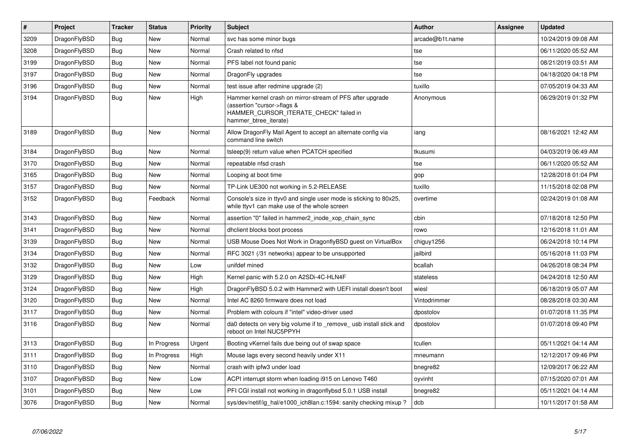| $\vert$ # | Project      | <b>Tracker</b> | <b>Status</b> | <b>Priority</b> | Subject                                                                                                                                                     | <b>Author</b>   | Assignee | <b>Updated</b>      |
|-----------|--------------|----------------|---------------|-----------------|-------------------------------------------------------------------------------------------------------------------------------------------------------------|-----------------|----------|---------------------|
| 3209      | DragonFlyBSD | <b>Bug</b>     | <b>New</b>    | Normal          | svc has some minor bugs                                                                                                                                     | arcade@b1t.name |          | 10/24/2019 09:08 AM |
| 3208      | DragonFlyBSD | Bug            | <b>New</b>    | Normal          | Crash related to nfsd                                                                                                                                       | tse             |          | 06/11/2020 05:52 AM |
| 3199      | DragonFlyBSD | <b>Bug</b>     | <b>New</b>    | Normal          | PFS label not found panic                                                                                                                                   | tse             |          | 08/21/2019 03:51 AM |
| 3197      | DragonFlyBSD | <b>Bug</b>     | <b>New</b>    | Normal          | DragonFly upgrades                                                                                                                                          | tse             |          | 04/18/2020 04:18 PM |
| 3196      | DragonFlyBSD | Bug            | <b>New</b>    | Normal          | test issue after redmine upgrade (2)                                                                                                                        | tuxillo         |          | 07/05/2019 04:33 AM |
| 3194      | DragonFlyBSD | <b>Bug</b>     | <b>New</b>    | High            | Hammer kernel crash on mirror-stream of PFS after upgrade<br>(assertion "cursor->flags &<br>HAMMER_CURSOR_ITERATE_CHECK" failed in<br>hammer btree iterate) | Anonymous       |          | 06/29/2019 01:32 PM |
| 3189      | DragonFlyBSD | Bug            | <b>New</b>    | Normal          | Allow DragonFly Mail Agent to accept an alternate config via<br>command line switch                                                                         | iang            |          | 08/16/2021 12:42 AM |
| 3184      | DragonFlyBSD | <b>Bug</b>     | <b>New</b>    | Normal          | tsleep(9) return value when PCATCH specified                                                                                                                | tkusumi         |          | 04/03/2019 06:49 AM |
| 3170      | DragonFlyBSD | Bug            | <b>New</b>    | Normal          | repeatable nfsd crash                                                                                                                                       | tse             |          | 06/11/2020 05:52 AM |
| 3165      | DragonFlyBSD | <b>Bug</b>     | New           | Normal          | Looping at boot time                                                                                                                                        | gop             |          | 12/28/2018 01:04 PM |
| 3157      | DragonFlyBSD | Bug            | <b>New</b>    | Normal          | TP-Link UE300 not working in 5.2-RELEASE                                                                                                                    | tuxillo         |          | 11/15/2018 02:08 PM |
| 3152      | DragonFlyBSD | <b>Bug</b>     | Feedback      | Normal          | Console's size in ttyv0 and single user mode is sticking to 80x25,<br>while ttyv1 can make use of the whole screen                                          | overtime        |          | 02/24/2019 01:08 AM |
| 3143      | DragonFlyBSD | Bug            | <b>New</b>    | Normal          | assertion "0" failed in hammer2 inode xop chain sync                                                                                                        | cbin            |          | 07/18/2018 12:50 PM |
| 3141      | DragonFlyBSD | <b>Bug</b>     | <b>New</b>    | Normal          | dhclient blocks boot process                                                                                                                                | rowo            |          | 12/16/2018 11:01 AM |
| 3139      | DragonFlyBSD | Bug            | <b>New</b>    | Normal          | USB Mouse Does Not Work in DragonflyBSD guest on VirtualBox                                                                                                 | chiguy1256      |          | 06/24/2018 10:14 PM |
| 3134      | DragonFlyBSD | <b>Bug</b>     | <b>New</b>    | Normal          | RFC 3021 (/31 networks) appear to be unsupported                                                                                                            | jailbird        |          | 05/16/2018 11:03 PM |
| 3132      | DragonFlyBSD | Bug            | <b>New</b>    | Low             | unifdef mined                                                                                                                                               | bcallah         |          | 04/26/2018 08:34 PM |
| 3129      | DragonFlyBSD | <b>Bug</b>     | <b>New</b>    | High            | Kernel panic with 5.2.0 on A2SDi-4C-HLN4F                                                                                                                   | stateless       |          | 04/24/2018 12:50 AM |
| 3124      | DragonFlyBSD | <b>Bug</b>     | <b>New</b>    | High            | DragonFlyBSD 5.0.2 with Hammer2 with UEFI install doesn't boot                                                                                              | wiesl           |          | 06/18/2019 05:07 AM |
| 3120      | DragonFlyBSD | Bug            | <b>New</b>    | Normal          | Intel AC 8260 firmware does not load                                                                                                                        | Vintodrimmer    |          | 08/28/2018 03:30 AM |
| 3117      | DragonFlyBSD | <b>Bug</b>     | <b>New</b>    | Normal          | Problem with colours if "intel" video-driver used                                                                                                           | dpostolov       |          | 01/07/2018 11:35 PM |
| 3116      | DragonFlyBSD | Bug            | <b>New</b>    | Normal          | da0 detects on very big volume if to remove usb install stick and<br>reboot on Intel NUC5PPYH                                                               | dpostolov       |          | 01/07/2018 09:40 PM |
| 3113      | DragonFlyBSD | Bug            | In Progress   | Urgent          | Booting vKernel fails due being out of swap space                                                                                                           | tcullen         |          | 05/11/2021 04:14 AM |
| 3111      | DragonFlyBSD | <b>Bug</b>     | In Progress   | High            | Mouse lags every second heavily under X11                                                                                                                   | mneumann        |          | 12/12/2017 09:46 PM |
| 3110      | DragonFlyBSD | Bug            | <b>New</b>    | Normal          | crash with ipfw3 under load                                                                                                                                 | bnegre82        |          | 12/09/2017 06:22 AM |
| 3107      | DragonFlyBSD | <b>Bug</b>     | <b>New</b>    | Low             | ACPI interrupt storm when loading i915 on Lenovo T460                                                                                                       | oyvinht         |          | 07/15/2020 07:01 AM |
| 3101      | DragonFlyBSD | Bug            | <b>New</b>    | Low             | PFI CGI install not working in dragonflybsd 5.0.1 USB install                                                                                               | bnegre82        |          | 05/11/2021 04:14 AM |
| 3076      | DragonFlyBSD | Bug            | <b>New</b>    | Normal          | sys/dev/netif/ig_hal/e1000_ich8lan.c:1594: sanity checking mixup?                                                                                           | dcb             |          | 10/11/2017 01:58 AM |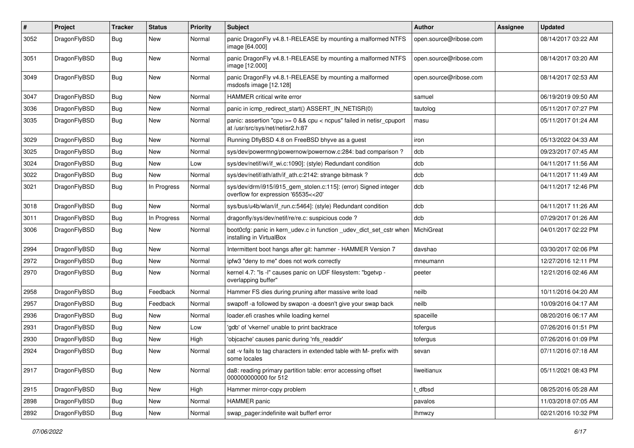| #    | Project      | <b>Tracker</b> | <b>Status</b> | <b>Priority</b> | Subject                                                                                                 | Author                 | Assignee | <b>Updated</b>      |
|------|--------------|----------------|---------------|-----------------|---------------------------------------------------------------------------------------------------------|------------------------|----------|---------------------|
| 3052 | DragonFlyBSD | <b>Bug</b>     | <b>New</b>    | Normal          | panic DragonFly v4.8.1-RELEASE by mounting a malformed NTFS<br>image [64.000]                           | open.source@ribose.com |          | 08/14/2017 03:22 AM |
| 3051 | DragonFlyBSD | <b>Bug</b>     | <b>New</b>    | Normal          | panic DragonFly v4.8.1-RELEASE by mounting a malformed NTFS<br>image [12.000]                           | open.source@ribose.com |          | 08/14/2017 03:20 AM |
| 3049 | DragonFlyBSD | Bug            | <b>New</b>    | Normal          | panic DragonFly v4.8.1-RELEASE by mounting a malformed<br>msdosfs image [12.128]                        | open.source@ribose.com |          | 08/14/2017 02:53 AM |
| 3047 | DragonFlyBSD | <b>Bug</b>     | New           | Normal          | HAMMER critical write error                                                                             | samuel                 |          | 06/19/2019 09:50 AM |
| 3036 | DragonFlyBSD | Bug            | New           | Normal          | panic in icmp redirect start() ASSERT IN NETISR(0)                                                      | tautolog               |          | 05/11/2017 07:27 PM |
| 3035 | DragonFlyBSD | <b>Bug</b>     | <b>New</b>    | Normal          | panic: assertion "cpu >= 0 && cpu < ncpus" failed in netisr_cpuport<br>at /usr/src/sys/net/netisr2.h:87 | masu                   |          | 05/11/2017 01:24 AM |
| 3029 | DragonFlyBSD | <b>Bug</b>     | New           | Normal          | Running DflyBSD 4.8 on FreeBSD bhyve as a guest                                                         | iron                   |          | 05/13/2022 04:33 AM |
| 3025 | DragonFlyBSD | <b>Bug</b>     | New           | Normal          | sys/dev/powermng/powernow/powernow.c:284: bad comparison?                                               | dcb                    |          | 09/23/2017 07:45 AM |
| 3024 | DragonFlyBSD | Bug            | <b>New</b>    | Low             | sys/dev/netif/wi/if_wi.c:1090]: (style) Redundant condition                                             | dcb                    |          | 04/11/2017 11:56 AM |
| 3022 | DragonFlyBSD | Bug            | New           | Normal          | sys/dev/netif/ath/ath/if ath.c:2142: strange bitmask?                                                   | dcb                    |          | 04/11/2017 11:49 AM |
| 3021 | DragonFlyBSD | Bug            | In Progress   | Normal          | sys/dev/drm/i915/i915_gem_stolen.c:115]: (error) Signed integer<br>overflow for expression '65535<<20'  | dcb                    |          | 04/11/2017 12:46 PM |
| 3018 | DragonFlyBSD | Bug            | <b>New</b>    | Normal          | sys/bus/u4b/wlan/if_run.c:5464]: (style) Redundant condition                                            | dcb                    |          | 04/11/2017 11:26 AM |
| 3011 | DragonFlyBSD | <b>Bug</b>     | In Progress   | Normal          | dragonfly/sys/dev/netif/re/re.c: suspicious code?                                                       | dcb                    |          | 07/29/2017 01:26 AM |
| 3006 | DragonFlyBSD | Bug            | <b>New</b>    | Normal          | boot0cfg: panic in kern_udev.c in function _udev_dict_set_cstr when<br>installing in VirtualBox         | MichiGreat             |          | 04/01/2017 02:22 PM |
| 2994 | DragonFlyBSD | Bug            | <b>New</b>    | Normal          | Intermittent boot hangs after git: hammer - HAMMER Version 7                                            | davshao                |          | 03/30/2017 02:06 PM |
| 2972 | DragonFlyBSD | Bug            | New           | Normal          | ipfw3 "deny to me" does not work correctly                                                              | mneumann               |          | 12/27/2016 12:11 PM |
| 2970 | DragonFlyBSD | Bug            | <b>New</b>    | Normal          | kernel 4.7: "Is -I" causes panic on UDF filesystem: "bgetvp -<br>overlapping buffer"                    | peeter                 |          | 12/21/2016 02:46 AM |
| 2958 | DragonFlyBSD | Bug            | Feedback      | Normal          | Hammer FS dies during pruning after massive write load                                                  | neilb                  |          | 10/11/2016 04:20 AM |
| 2957 | DragonFlyBSD | <b>Bug</b>     | Feedback      | Normal          | swapoff -a followed by swapon -a doesn't give your swap back                                            | neilb                  |          | 10/09/2016 04:17 AM |
| 2936 | DragonFlyBSD | Bug            | New           | Normal          | loader.efi crashes while loading kernel                                                                 | spaceille              |          | 08/20/2016 06:17 AM |
| 2931 | DragonFlyBSD | <b>Bug</b>     | New           | Low             | 'gdb' of 'vkernel' unable to print backtrace                                                            | tofergus               |          | 07/26/2016 01:51 PM |
| 2930 | DragonFlyBSD | <b>Bug</b>     | <b>New</b>    | High            | 'objcache' causes panic during 'nfs_readdir'                                                            | tofergus               |          | 07/26/2016 01:09 PM |
| 2924 | DragonFlyBSD | <b>Bug</b>     | New           | Normal          | cat -v fails to tag characters in extended table with M- prefix with<br>some locales                    | sevan                  |          | 07/11/2016 07:18 AM |
| 2917 | DragonFlyBSD | <b>Bug</b>     | New           | Normal          | da8: reading primary partition table: error accessing offset<br>000000000000 for 512                    | liweitianux            |          | 05/11/2021 08:43 PM |
| 2915 | DragonFlyBSD | Bug            | New           | High            | Hammer mirror-copy problem                                                                              | t_dfbsd                |          | 08/25/2016 05:28 AM |
| 2898 | DragonFlyBSD | Bug            | New           | Normal          | HAMMER panic                                                                                            | pavalos                |          | 11/03/2018 07:05 AM |
| 2892 | DragonFlyBSD | <b>Bug</b>     | New           | Normal          | swap_pager:indefinite wait bufferf error                                                                | <b>Ihmwzy</b>          |          | 02/21/2016 10:32 PM |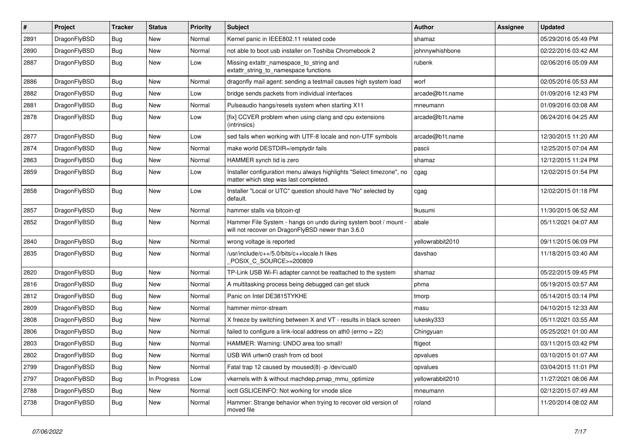| $\sharp$ | Project      | <b>Tracker</b> | <b>Status</b> | <b>Priority</b> | Subject                                                                                                              | <b>Author</b>    | Assignee | <b>Updated</b>      |
|----------|--------------|----------------|---------------|-----------------|----------------------------------------------------------------------------------------------------------------------|------------------|----------|---------------------|
| 2891     | DragonFlyBSD | <b>Bug</b>     | New           | Normal          | Kernel panic in IEEE802.11 related code                                                                              | shamaz           |          | 05/29/2016 05:49 PM |
| 2890     | DragonFlyBSD | Bug            | New           | Normal          | not able to boot usb installer on Toshiba Chromebook 2                                                               | johnnywhishbone  |          | 02/22/2016 03:42 AM |
| 2887     | DragonFlyBSD | <b>Bug</b>     | New           | Low             | Missing extattr_namespace_to_string and<br>extattr_string_to_namespace functions                                     | rubenk           |          | 02/06/2016 05:09 AM |
| 2886     | DragonFlyBSD | Bug            | <b>New</b>    | Normal          | dragonfly mail agent: sending a testmail causes high system load                                                     | worf             |          | 02/05/2016 05:53 AM |
| 2882     | DragonFlyBSD | <b>Bug</b>     | New           | Low             | bridge sends packets from individual interfaces                                                                      | arcade@b1t.name  |          | 01/09/2016 12:43 PM |
| 2881     | DragonFlyBSD | Bug            | New           | Normal          | Pulseaudio hangs/resets system when starting X11                                                                     | mneumann         |          | 01/09/2016 03:08 AM |
| 2878     | DragonFlyBSD | Bug            | <b>New</b>    | Low             | [fix] CCVER problem when using clang and cpu extensions<br>(intrinsics)                                              | arcade@b1t.name  |          | 06/24/2016 04:25 AM |
| 2877     | DragonFlyBSD | Bug            | New           | Low             | sed fails when working with UTF-8 locale and non-UTF symbols                                                         | arcade@b1t.name  |          | 12/30/2015 11:20 AM |
| 2874     | DragonFlyBSD | <b>Bug</b>     | New           | Normal          | make world DESTDIR=/emptydir fails                                                                                   | pascii           |          | 12/25/2015 07:04 AM |
| 2863     | DragonFlyBSD | <b>Bug</b>     | New           | Normal          | HAMMER synch tid is zero                                                                                             | shamaz           |          | 12/12/2015 11:24 PM |
| 2859     | DragonFlyBSD | Bug            | New           | Low             | Installer configuration menu always highlights "Select timezone", no<br>matter which step was last completed.        | cgag             |          | 12/02/2015 01:54 PM |
| 2858     | DragonFlyBSD | Bug            | New           | Low             | Installer "Local or UTC" question should have "No" selected by<br>default.                                           | cgag             |          | 12/02/2015 01:18 PM |
| 2857     | DragonFlyBSD | Bug            | <b>New</b>    | Normal          | hammer stalls via bitcoin-qt                                                                                         | tkusumi          |          | 11/30/2015 06:52 AM |
| 2852     | DragonFlyBSD | Bug            | New           | Normal          | Hammer File System - hangs on undo during system boot / mount -<br>will not recover on DragonFlyBSD newer than 3.6.0 | abale            |          | 05/11/2021 04:07 AM |
| 2840     | DragonFlyBSD | Bug            | <b>New</b>    | Normal          | wrong voltage is reported                                                                                            | yellowrabbit2010 |          | 09/11/2015 06:09 PM |
| 2835     | DragonFlyBSD | Bug            | New           | Normal          | /usr/include/c++/5.0/bits/c++locale.h likes<br>POSIX_C_SOURCE>=200809                                                | davshao          |          | 11/18/2015 03:40 AM |
| 2820     | DragonFlyBSD | Bug            | <b>New</b>    | Normal          | TP-Link USB Wi-Fi adapter cannot be reattached to the system                                                         | shamaz           |          | 05/22/2015 09:45 PM |
| 2816     | DragonFlyBSD | <b>Bug</b>     | <b>New</b>    | Normal          | A multitasking process being debugged can get stuck                                                                  | phma             |          | 05/19/2015 03:57 AM |
| 2812     | DragonFlyBSD | <b>Bug</b>     | <b>New</b>    | Normal          | Panic on Intel DE3815TYKHE                                                                                           | tmorp            |          | 05/14/2015 03:14 PM |
| 2809     | DragonFlyBSD | Bug            | New           | Normal          | hammer mirror-stream                                                                                                 | masu             |          | 04/10/2015 12:33 AM |
| 2808     | DragonFlyBSD | <b>Bug</b>     | <b>New</b>    | Normal          | X freeze by switching between X and VT - results in black screen                                                     | lukesky333       |          | 05/11/2021 03:55 AM |
| 2806     | DragonFlyBSD | <b>Bug</b>     | New           | Normal          | failed to configure a link-local address on ath0 (errno = 22)                                                        | Chingyuan        |          | 05/25/2021 01:00 AM |
| 2803     | DragonFlyBSD | <b>Bug</b>     | <b>New</b>    | Normal          | HAMMER: Warning: UNDO area too small!                                                                                | ftigeot          |          | 03/11/2015 03:42 PM |
| 2802     | DragonFlvBSD | Bug            | <b>New</b>    | Normal          | USB Wifi urtwn0 crash from cd boot                                                                                   | opvalues         |          | 03/10/2015 01:07 AM |
| 2799     | DragonFlyBSD | Bug            | New           | Normal          | Fatal trap 12 caused by moused(8) -p /dev/cual0                                                                      | opvalues         |          | 03/04/2015 11:01 PM |
| 2797     | DragonFlyBSD | Bug            | In Progress   | Low             | vkernels with & without machdep.pmap_mmu_optimize                                                                    | yellowrabbit2010 |          | 11/27/2021 08:06 AM |
| 2788     | DragonFlyBSD | <b>Bug</b>     | <b>New</b>    | Normal          | ioctl GSLICEINFO: Not working for vnode slice                                                                        | mneumann         |          | 02/12/2015 07:49 AM |
| 2738     | DragonFlyBSD | <b>Bug</b>     | New           | Normal          | Hammer: Strange behavior when trying to recover old version of<br>moved file                                         | roland           |          | 11/20/2014 08:02 AM |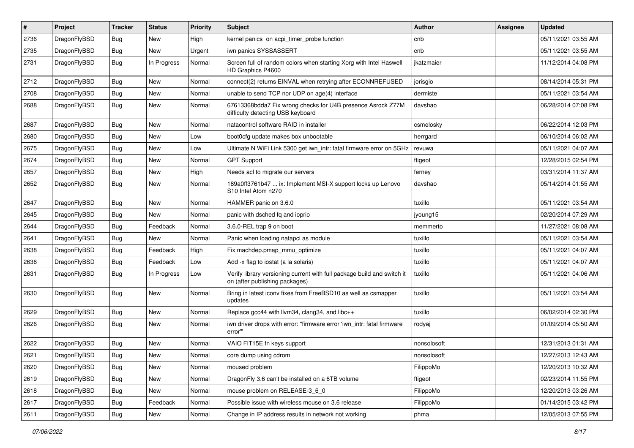| $\sharp$ | Project      | <b>Tracker</b> | <b>Status</b> | <b>Priority</b> | Subject                                                                                                   | <b>Author</b> | Assignee | <b>Updated</b>      |
|----------|--------------|----------------|---------------|-----------------|-----------------------------------------------------------------------------------------------------------|---------------|----------|---------------------|
| 2736     | DragonFlyBSD | <b>Bug</b>     | <b>New</b>    | High            | kernel panics on acpi_timer_probe function                                                                | cnb           |          | 05/11/2021 03:55 AM |
| 2735     | DragonFlyBSD | Bug            | New           | Urgent          | iwn panics SYSSASSERT                                                                                     | cnb           |          | 05/11/2021 03:55 AM |
| 2731     | DragonFlyBSD | Bug            | In Progress   | Normal          | Screen full of random colors when starting Xorg with Intel Haswell<br>HD Graphics P4600                   | jkatzmaier    |          | 11/12/2014 04:08 PM |
| 2712     | DragonFlyBSD | Bug            | <b>New</b>    | Normal          | connect(2) returns EINVAL when retrying after ECONNREFUSED                                                | jorisgio      |          | 08/14/2014 05:31 PM |
| 2708     | DragonFlyBSD | <b>Bug</b>     | <b>New</b>    | Normal          | unable to send TCP nor UDP on age(4) interface                                                            | dermiste      |          | 05/11/2021 03:54 AM |
| 2688     | DragonFlyBSD | <b>Bug</b>     | New           | Normal          | 67613368bdda7 Fix wrong checks for U4B presence Asrock Z77M<br>difficulty detecting USB keyboard          | davshao       |          | 06/28/2014 07:08 PM |
| 2687     | DragonFlyBSD | Bug            | <b>New</b>    | Normal          | natacontrol software RAID in installer                                                                    | csmelosky     |          | 06/22/2014 12:03 PM |
| 2680     | DragonFlyBSD | Bug            | <b>New</b>    | Low             | boot0cfg update makes box unbootable                                                                      | herrgard      |          | 06/10/2014 06:02 AM |
| 2675     | DragonFlyBSD | <b>Bug</b>     | <b>New</b>    | Low             | Ultimate N WiFi Link 5300 get iwn_intr: fatal firmware error on 5GHz                                      | revuwa        |          | 05/11/2021 04:07 AM |
| 2674     | DragonFlyBSD | <b>Bug</b>     | <b>New</b>    | Normal          | <b>GPT Support</b>                                                                                        | ftigeot       |          | 12/28/2015 02:54 PM |
| 2657     | DragonFlyBSD | <b>Bug</b>     | <b>New</b>    | High            | Needs acl to migrate our servers                                                                          | ferney        |          | 03/31/2014 11:37 AM |
| 2652     | DragonFlyBSD | <b>Bug</b>     | <b>New</b>    | Normal          | 189a0ff3761b47  ix: Implement MSI-X support locks up Lenovo<br>S10 Intel Atom n270                        | davshao       |          | 05/14/2014 01:55 AM |
| 2647     | DragonFlyBSD | Bug            | <b>New</b>    | Normal          | HAMMER panic on 3.6.0                                                                                     | tuxillo       |          | 05/11/2021 03:54 AM |
| 2645     | DragonFlyBSD | <b>Bug</b>     | New           | Normal          | panic with dsched fq and ioprio                                                                           | jyoung15      |          | 02/20/2014 07:29 AM |
| 2644     | DragonFlyBSD | Bug            | Feedback      | Normal          | 3.6.0-REL trap 9 on boot                                                                                  | memmerto      |          | 11/27/2021 08:08 AM |
| 2641     | DragonFlyBSD | <b>Bug</b>     | New           | Normal          | Panic when loading natapci as module                                                                      | tuxillo       |          | 05/11/2021 03:54 AM |
| 2638     | DragonFlyBSD | Bug            | Feedback      | High            | Fix machdep.pmap_mmu_optimize                                                                             | tuxillo       |          | 05/11/2021 04:07 AM |
| 2636     | DragonFlyBSD | <b>Bug</b>     | Feedback      | Low             | Add -x flag to iostat (a la solaris)                                                                      | tuxillo       |          | 05/11/2021 04:07 AM |
| 2631     | DragonFlyBSD | <b>Bug</b>     | In Progress   | Low             | Verify library versioning current with full package build and switch it<br>on (after publishing packages) | tuxillo       |          | 05/11/2021 04:06 AM |
| 2630     | DragonFlyBSD | Bug            | New           | Normal          | Bring in latest iconv fixes from FreeBSD10 as well as csmapper<br>updates                                 | tuxillo       |          | 05/11/2021 03:54 AM |
| 2629     | DragonFlyBSD | Bug            | New           | Normal          | Replace gcc44 with llvm34, clang34, and libc++                                                            | tuxillo       |          | 06/02/2014 02:30 PM |
| 2626     | DragonFlyBSD | <b>Bug</b>     | New           | Normal          | iwn driver drops with error: "firmware error 'iwn_intr: fatal firmware<br>error"                          | rodyaj        |          | 01/09/2014 05:50 AM |
| 2622     | DragonFlyBSD | Bug            | <b>New</b>    | Normal          | VAIO FIT15E fn keys support                                                                               | nonsolosoft   |          | 12/31/2013 01:31 AM |
| 2621     | DragonFlyBSD | Bug            | <b>New</b>    | Normal          | core dump using cdrom                                                                                     | nonsolosoft   |          | 12/27/2013 12:43 AM |
| 2620     | DragonFlyBSD | Bug            | New           | Normal          | moused problem                                                                                            | FilippoMo     |          | 12/20/2013 10:32 AM |
| 2619     | DragonFlyBSD | Bug            | New           | Normal          | DragonFly 3.6 can't be installed on a 6TB volume                                                          | ftigeot       |          | 02/23/2014 11:55 PM |
| 2618     | DragonFlyBSD | <b>Bug</b>     | New           | Normal          | mouse problem on RELEASE-3_6_0                                                                            | FilippoMo     |          | 12/20/2013 03:26 AM |
| 2617     | DragonFlyBSD | Bug            | Feedback      | Normal          | Possible issue with wireless mouse on 3.6 release                                                         | FilippoMo     |          | 01/14/2015 03:42 PM |
| 2611     | DragonFlyBSD | <b>Bug</b>     | New           | Normal          | Change in IP address results in network not working                                                       | phma          |          | 12/05/2013 07:55 PM |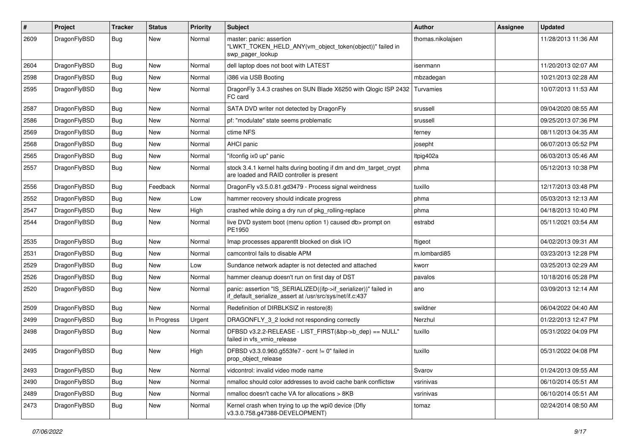| #    | Project      | <b>Tracker</b> | <b>Status</b> | <b>Priority</b> | Subject                                                                                                                      | <b>Author</b>     | Assignee | <b>Updated</b>      |
|------|--------------|----------------|---------------|-----------------|------------------------------------------------------------------------------------------------------------------------------|-------------------|----------|---------------------|
| 2609 | DragonFlyBSD | Bug            | New           | Normal          | master: panic: assertion<br>"LWKT_TOKEN_HELD_ANY(vm_object_token(object))" failed in<br>swp pager lookup                     | thomas.nikolajsen |          | 11/28/2013 11:36 AM |
| 2604 | DragonFlyBSD | Bug            | <b>New</b>    | Normal          | dell laptop does not boot with LATEST                                                                                        | isenmann          |          | 11/20/2013 02:07 AM |
| 2598 | DragonFlyBSD | Bug            | New           | Normal          | i386 via USB Booting                                                                                                         | mbzadegan         |          | 10/21/2013 02:28 AM |
| 2595 | DragonFlyBSD | <b>Bug</b>     | <b>New</b>    | Normal          | DragonFly 3.4.3 crashes on SUN Blade X6250 with Qlogic ISP 2432<br>FC card                                                   | Turvamies         |          | 10/07/2013 11:53 AM |
| 2587 | DragonFlyBSD | <b>Bug</b>     | <b>New</b>    | Normal          | SATA DVD writer not detected by DragonFly                                                                                    | srussell          |          | 09/04/2020 08:55 AM |
| 2586 | DragonFlyBSD | <b>Bug</b>     | <b>New</b>    | Normal          | pf: "modulate" state seems problematic                                                                                       | srussell          |          | 09/25/2013 07:36 PM |
| 2569 | DragonFlyBSD | Bug            | <b>New</b>    | Normal          | ctime NFS                                                                                                                    | ferney            |          | 08/11/2013 04:35 AM |
| 2568 | DragonFlyBSD | <b>Bug</b>     | <b>New</b>    | Normal          | AHCI panic                                                                                                                   | josepht           |          | 06/07/2013 05:52 PM |
| 2565 | DragonFlyBSD | <b>Bug</b>     | New           | Normal          | "ifconfig ix0 up" panic                                                                                                      | ltpig402a         |          | 06/03/2013 05:46 AM |
| 2557 | DragonFlyBSD | Bug            | <b>New</b>    | Normal          | stock 3.4.1 kernel halts during booting if dm and dm_target_crypt<br>are loaded and RAID controller is present               | phma              |          | 05/12/2013 10:38 PM |
| 2556 | DragonFlyBSD | Bug            | Feedback      | Normal          | DragonFly v3.5.0.81.gd3479 - Process signal weirdness                                                                        | tuxillo           |          | 12/17/2013 03:48 PM |
| 2552 | DragonFlyBSD | <b>Bug</b>     | New           | Low             | hammer recovery should indicate progress                                                                                     | phma              |          | 05/03/2013 12:13 AM |
| 2547 | DragonFlyBSD | <b>Bug</b>     | <b>New</b>    | High            | crashed while doing a dry run of pkg_rolling-replace                                                                         | phma              |          | 04/18/2013 10:40 PM |
| 2544 | DragonFlyBSD | Bug            | <b>New</b>    | Normal          | live DVD system boot (menu option 1) caused db> prompt on<br>PE1950                                                          | estrabd           |          | 05/11/2021 03:54 AM |
| 2535 | DragonFlyBSD | Bug            | <b>New</b>    | Normal          | Imap processes apparentlt blocked on disk I/O                                                                                | ftigeot           |          | 04/02/2013 09:31 AM |
| 2531 | DragonFlyBSD | Bug            | <b>New</b>    | Normal          | camcontrol fails to disable APM                                                                                              | m.lombardi85      |          | 03/23/2013 12:28 PM |
| 2529 | DragonFlyBSD | <b>Bug</b>     | <b>New</b>    | Low             | Sundance network adapter is not detected and attached                                                                        | kworr             |          | 03/25/2013 02:29 AM |
| 2526 | DragonFlyBSD | <b>Bug</b>     | <b>New</b>    | Normal          | hammer cleanup doesn't run on first day of DST                                                                               | pavalos           |          | 10/18/2016 05:28 PM |
| 2520 | DragonFlyBSD | Bug            | <b>New</b>    | Normal          | panic: assertion "IS_SERIALIZED((ifp->if_serializer))" failed in<br>if_default_serialize_assert at /usr/src/sys/net/if.c:437 | ano               |          | 03/09/2013 12:14 AM |
| 2509 | DragonFlyBSD | Bug            | <b>New</b>    | Normal          | Redefinition of DIRBLKSIZ in restore(8)                                                                                      | swildner          |          | 06/04/2022 04:40 AM |
| 2499 | DragonFlyBSD | <b>Bug</b>     | In Progress   | Urgent          | DRAGONFLY 3 2 lockd not responding correctly                                                                                 | Nerzhul           |          | 01/22/2013 12:47 PM |
| 2498 | DragonFlyBSD | Bug            | New           | Normal          | DFBSD v3.2.2-RELEASE - LIST_FIRST(&bp->b_dep) == NULL"<br>failed in vfs_vmio_release                                         | tuxillo           |          | 05/31/2022 04:09 PM |
| 2495 | DragonFlyBSD | Bug            | <b>New</b>    | High            | DFBSD v3.3.0.960.g553fe7 - ocnt != 0" failed in<br>prop_object_release                                                       | tuxillo           |          | 05/31/2022 04:08 PM |
| 2493 | DragonFlyBSD | Bug            | <b>New</b>    | Normal          | vidcontrol: invalid video mode name                                                                                          | Svarov            |          | 01/24/2013 09:55 AM |
| 2490 | DragonFlyBSD | <b>Bug</b>     | <b>New</b>    | Normal          | nmalloc should color addresses to avoid cache bank conflictsw                                                                | vsrinivas         |          | 06/10/2014 05:51 AM |
| 2489 | DragonFlyBSD | <b>Bug</b>     | New           | Normal          | nmalloc doesn't cache VA for allocations > 8KB                                                                               | vsrinivas         |          | 06/10/2014 05:51 AM |
| 2473 | DragonFlyBSD | <b>Bug</b>     | New           | Normal          | Kernel crash when trying to up the wpi0 device (Dfly<br>v3.3.0.758.g47388-DEVELOPMENT)                                       | tomaz             |          | 02/24/2014 08:50 AM |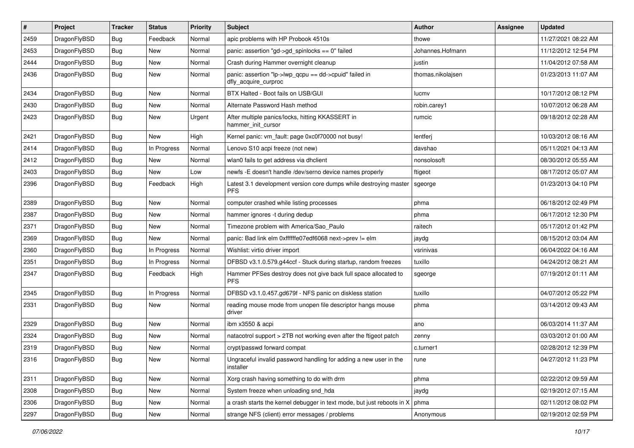| $\vert$ # | Project      | <b>Tracker</b> | <b>Status</b> | <b>Priority</b> | <b>Subject</b>                                                                  | <b>Author</b>     | Assignee | <b>Updated</b>      |
|-----------|--------------|----------------|---------------|-----------------|---------------------------------------------------------------------------------|-------------------|----------|---------------------|
| 2459      | DragonFlyBSD | <b>Bug</b>     | Feedback      | Normal          | apic problems with HP Probook 4510s                                             | thowe             |          | 11/27/2021 08:22 AM |
| 2453      | DragonFlyBSD | <b>Bug</b>     | <b>New</b>    | Normal          | panic: assertion "gd->gd_spinlocks == 0" failed                                 | Johannes.Hofmann  |          | 11/12/2012 12:54 PM |
| 2444      | DragonFlyBSD | <b>Bug</b>     | <b>New</b>    | Normal          | Crash during Hammer overnight cleanup                                           | justin            |          | 11/04/2012 07:58 AM |
| 2436      | DragonFlyBSD | Bug            | New           | Normal          | panic: assertion "lp->lwp_qcpu == dd->cpuid" failed in<br>dfly_acquire_curproc  | thomas.nikolajsen |          | 01/23/2013 11:07 AM |
| 2434      | DragonFlyBSD | <b>Bug</b>     | <b>New</b>    | Normal          | BTX Halted - Boot fails on USB/GUI                                              | lucmv             |          | 10/17/2012 08:12 PM |
| 2430      | DragonFlyBSD | Bug            | <b>New</b>    | Normal          | Alternate Password Hash method                                                  | robin.carey1      |          | 10/07/2012 06:28 AM |
| 2423      | DragonFlyBSD | Bug            | New           | Urgent          | After multiple panics/locks, hitting KKASSERT in<br>hammer_init_cursor          | rumcic            |          | 09/18/2012 02:28 AM |
| 2421      | DragonFlyBSD | <b>Bug</b>     | <b>New</b>    | High            | Kernel panic: vm_fault: page 0xc0f70000 not busy!                               | lentferj          |          | 10/03/2012 08:16 AM |
| 2414      | DragonFlyBSD | <b>Bug</b>     | In Progress   | Normal          | Lenovo S10 acpi freeze (not new)                                                | davshao           |          | 05/11/2021 04:13 AM |
| 2412      | DragonFlyBSD | Bug            | <b>New</b>    | Normal          | wlan0 fails to get address via dhclient                                         | nonsolosoft       |          | 08/30/2012 05:55 AM |
| 2403      | DragonFlyBSD | <b>Bug</b>     | New           | Low             | newfs -E doesn't handle /dev/serno device names properly                        | ftigeot           |          | 08/17/2012 05:07 AM |
| 2396      | DragonFlyBSD | Bug            | Feedback      | High            | Latest 3.1 development version core dumps while destroying master<br><b>PFS</b> | sgeorge           |          | 01/23/2013 04:10 PM |
| 2389      | DragonFlyBSD | <b>Bug</b>     | <b>New</b>    | Normal          | computer crashed while listing processes                                        | phma              |          | 06/18/2012 02:49 PM |
| 2387      | DragonFlyBSD | Bug            | <b>New</b>    | Normal          | hammer ignores -t during dedup                                                  | phma              |          | 06/17/2012 12:30 PM |
| 2371      | DragonFlyBSD | Bug            | <b>New</b>    | Normal          | Timezone problem with America/Sao Paulo                                         | raitech           |          | 05/17/2012 01:42 PM |
| 2369      | DragonFlyBSD | Bug            | <b>New</b>    | Normal          | panic: Bad link elm 0xffffffe07edf6068 next->prev != elm                        | jaydg             |          | 08/15/2012 03:04 AM |
| 2360      | DragonFlyBSD | Bug            | In Progress   | Normal          | Wishlist: virtio driver import                                                  | vsrinivas         |          | 06/04/2022 04:16 AM |
| 2351      | DragonFlyBSD | <b>Bug</b>     | In Progress   | Normal          | DFBSD v3.1.0.579.g44ccf - Stuck during startup, random freezes                  | tuxillo           |          | 04/24/2012 08:21 AM |
| 2347      | DragonFlyBSD | Bug            | Feedback      | High            | Hammer PFSes destroy does not give back full space allocated to<br><b>PFS</b>   | sgeorge           |          | 07/19/2012 01:11 AM |
| 2345      | DragonFlyBSD | <b>Bug</b>     | In Progress   | Normal          | DFBSD v3.1.0.457.gd679f - NFS panic on diskless station                         | tuxillo           |          | 04/07/2012 05:22 PM |
| 2331      | DragonFlyBSD | Bug            | <b>New</b>    | Normal          | reading mouse mode from unopen file descriptor hangs mouse<br>driver            | phma              |          | 03/14/2012 09:43 AM |
| 2329      | DragonFlyBSD | <b>Bug</b>     | <b>New</b>    | Normal          | ibm x3550 & acpi                                                                | ano               |          | 06/03/2014 11:37 AM |
| 2324      | DragonFlyBSD | Bug            | <b>New</b>    | Normal          | natacotrol support > 2TB not working even after the ftigeot patch               | zenny             |          | 03/03/2012 01:00 AM |
| 2319      | DragonFlyBSD | <b>Bug</b>     | <b>New</b>    | Normal          | crypt/passwd forward compat                                                     | c.turner1         |          | 02/28/2012 12:39 PM |
| 2316      | DragonFlyBSD | Bug            | New           | Normal          | Ungraceful invalid password handling for adding a new user in the<br>installer  | rune              |          | 04/27/2012 11:23 PM |
| 2311      | DragonFlyBSD | <b>Bug</b>     | New           | Normal          | Xorg crash having something to do with drm                                      | phma              |          | 02/22/2012 09:59 AM |
| 2308      | DragonFlyBSD | <b>Bug</b>     | New           | Normal          | System freeze when unloading snd_hda                                            | jaydg             |          | 02/19/2012 07:15 AM |
| 2306      | DragonFlyBSD | Bug            | New           | Normal          | a crash starts the kernel debugger in text mode, but just reboots in X          | phma              |          | 02/11/2012 08:02 PM |
| 2297      | DragonFlyBSD | Bug            | New           | Normal          | strange NFS (client) error messages / problems                                  | Anonymous         |          | 02/19/2012 02:59 PM |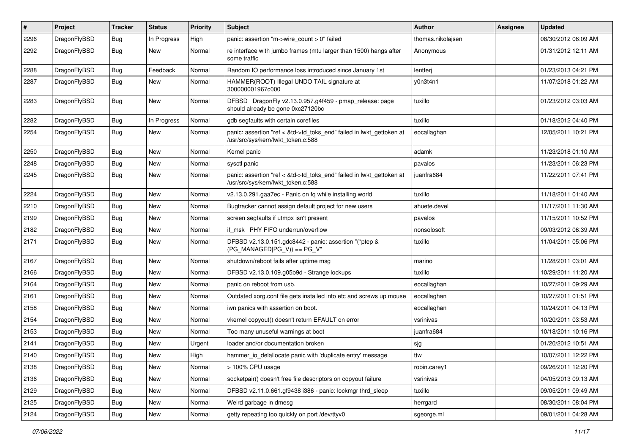| #    | Project      | <b>Tracker</b> | <b>Status</b> | <b>Priority</b> | Subject                                                                                                    | <b>Author</b>     | Assignee | <b>Updated</b>      |
|------|--------------|----------------|---------------|-----------------|------------------------------------------------------------------------------------------------------------|-------------------|----------|---------------------|
| 2296 | DragonFlyBSD | <b>Bug</b>     | In Progress   | High            | panic: assertion "m->wire count > 0" failed                                                                | thomas.nikolajsen |          | 08/30/2012 06:09 AM |
| 2292 | DragonFlyBSD | <b>Bug</b>     | New           | Normal          | re interface with jumbo frames (mtu larger than 1500) hangs after<br>some traffic                          | Anonymous         |          | 01/31/2012 12:11 AM |
| 2288 | DragonFlyBSD | <b>Bug</b>     | Feedback      | Normal          | Random IO performance loss introduced since January 1st                                                    | lentferj          |          | 01/23/2013 04:21 PM |
| 2287 | DragonFlyBSD | <b>Bug</b>     | New           | Normal          | HAMMER(ROOT) Illegal UNDO TAIL signature at<br>300000001967c000                                            | y0n3t4n1          |          | 11/07/2018 01:22 AM |
| 2283 | DragonFlyBSD | <b>Bug</b>     | New           | Normal          | DFBSD DragonFly v2.13.0.957.g4f459 - pmap_release: page<br>should already be gone 0xc27120bc               | tuxillo           |          | 01/23/2012 03:03 AM |
| 2282 | DragonFlyBSD | <b>Bug</b>     | In Progress   | Normal          | gdb segfaults with certain corefiles                                                                       | tuxillo           |          | 01/18/2012 04:40 PM |
| 2254 | DragonFlyBSD | <b>Bug</b>     | New           | Normal          | panic: assertion "ref < &td->td_toks_end" failed in lwkt_gettoken at<br>/usr/src/sys/kern/lwkt_token.c:588 | eocallaghan       |          | 12/05/2011 10:21 PM |
| 2250 | DragonFlyBSD | Bug            | New           | Normal          | Kernel panic                                                                                               | adamk             |          | 11/23/2018 01:10 AM |
| 2248 | DragonFlyBSD | Bug            | New           | Normal          | sysctl panic                                                                                               | pavalos           |          | 11/23/2011 06:23 PM |
| 2245 | DragonFlyBSD | <b>Bug</b>     | New           | Normal          | panic: assertion "ref < &td->td_toks_end" failed in lwkt_gettoken at<br>/usr/src/sys/kern/lwkt token.c:588 | iuanfra684        |          | 11/22/2011 07:41 PM |
| 2224 | DragonFlyBSD | Bug            | New           | Normal          | v2.13.0.291.gaa7ec - Panic on fq while installing world                                                    | tuxillo           |          | 11/18/2011 01:40 AM |
| 2210 | DragonFlyBSD | <b>Bug</b>     | <b>New</b>    | Normal          | Bugtracker cannot assign default project for new users                                                     | ahuete.devel      |          | 11/17/2011 11:30 AM |
| 2199 | DragonFlyBSD | Bug            | New           | Normal          | screen segfaults if utmpx isn't present                                                                    | pavalos           |          | 11/15/2011 10:52 PM |
| 2182 | DragonFlyBSD | <b>Bug</b>     | <b>New</b>    | Normal          | if msk PHY FIFO underrun/overflow                                                                          | nonsolosoft       |          | 09/03/2012 06:39 AM |
| 2171 | DragonFlyBSD | <b>Bug</b>     | New           | Normal          | DFBSD v2.13.0.151.gdc8442 - panic: assertion "(*ptep &<br>$(PG_MANAGED PG_V)) == PG_V"$                    | tuxillo           |          | 11/04/2011 05:06 PM |
| 2167 | DragonFlyBSD | <b>Bug</b>     | New           | Normal          | shutdown/reboot fails after uptime msg                                                                     | marino            |          | 11/28/2011 03:01 AM |
| 2166 | DragonFlyBSD | <b>Bug</b>     | New           | Normal          | DFBSD v2.13.0.109.g05b9d - Strange lockups                                                                 | tuxillo           |          | 10/29/2011 11:20 AM |
| 2164 | DragonFlyBSD | <b>Bug</b>     | <b>New</b>    | Normal          | panic on reboot from usb.                                                                                  | eocallaghan       |          | 10/27/2011 09:29 AM |
| 2161 | DragonFlyBSD | <b>Bug</b>     | New           | Normal          | Outdated xorg.conf file gets installed into etc and screws up mouse                                        | eocallaghan       |          | 10/27/2011 01:51 PM |
| 2158 | DragonFlyBSD | Bug            | <b>New</b>    | Normal          | iwn panics with assertion on boot.                                                                         | eocallaghan       |          | 10/24/2011 04:13 PM |
| 2154 | DragonFlyBSD | <b>Bug</b>     | New           | Normal          | vkernel copyout() doesn't return EFAULT on error                                                           | vsrinivas         |          | 10/20/2011 03:53 AM |
| 2153 | DragonFlyBSD | <b>Bug</b>     | New           | Normal          | Too many unuseful warnings at boot                                                                         | juanfra684        |          | 10/18/2011 10:16 PM |
| 2141 | DragonFlyBSD | <b>Bug</b>     | New           | Urgent          | loader and/or documentation broken                                                                         | sjg               |          | 01/20/2012 10:51 AM |
| 2140 | DragonFlyBSD | Bug            | <b>New</b>    | High            | hammer io delallocate panic with 'duplicate entry' message                                                 | ttw               |          | 10/07/2011 12:22 PM |
| 2138 | DragonFlyBSD | <b>Bug</b>     | New           | Normal          | > 100% CPU usage                                                                                           | robin.carey1      |          | 09/26/2011 12:20 PM |
| 2136 | DragonFlyBSD | <b>Bug</b>     | New           | Normal          | socketpair() doesn't free file descriptors on copyout failure                                              | vsrinivas         |          | 04/05/2013 09:13 AM |
| 2129 | DragonFlyBSD | <b>Bug</b>     | <b>New</b>    | Normal          | DFBSD v2.11.0.661.gf9438 i386 - panic: lockmgr thrd_sleep                                                  | tuxillo           |          | 09/05/2011 09:49 AM |
| 2125 | DragonFlyBSD | <b>Bug</b>     | <b>New</b>    | Normal          | Weird garbage in dmesg                                                                                     | herrgard          |          | 08/30/2011 08:04 PM |
| 2124 | DragonFlyBSD | <b>Bug</b>     | New           | Normal          | getty repeating too quickly on port /dev/ttyv0                                                             | sgeorge.ml        |          | 09/01/2011 04:28 AM |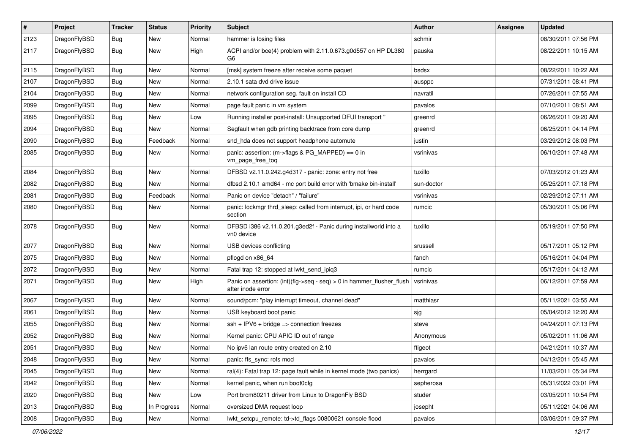| $\pmb{\#}$ | Project      | <b>Tracker</b> | <b>Status</b> | <b>Priority</b> | Subject                                                                                    | Author     | Assignee | <b>Updated</b>      |
|------------|--------------|----------------|---------------|-----------------|--------------------------------------------------------------------------------------------|------------|----------|---------------------|
| 2123       | DragonFlyBSD | <b>Bug</b>     | New           | Normal          | hammer is losing files                                                                     | schmir     |          | 08/30/2011 07:56 PM |
| 2117       | DragonFlyBSD | Bug            | New           | High            | ACPI and/or bce(4) problem with 2.11.0.673.g0d557 on HP DL380<br>G <sub>6</sub>            | pauska     |          | 08/22/2011 10:15 AM |
| 2115       | DragonFlyBSD | Bug            | New           | Normal          | [msk] system freeze after receive some paquet                                              | bsdsx      |          | 08/22/2011 10:22 AM |
| 2107       | DragonFlyBSD | Bug            | <b>New</b>    | Normal          | 2.10.1 sata dvd drive issue                                                                | ausppc     |          | 07/31/2011 08:41 PM |
| 2104       | DragonFlyBSD | <b>Bug</b>     | New           | Normal          | network configuration seg. fault on install CD                                             | navratil   |          | 07/26/2011 07:55 AM |
| 2099       | DragonFlyBSD | Bug            | New           | Normal          | page fault panic in vm system                                                              | pavalos    |          | 07/10/2011 08:51 AM |
| 2095       | DragonFlyBSD | Bug            | New           | Low             | Running installer post-install: Unsupported DFUI transport "                               | greenrd    |          | 06/26/2011 09:20 AM |
| 2094       | DragonFlyBSD | Bug            | New           | Normal          | Segfault when gdb printing backtrace from core dump                                        | greenrd    |          | 06/25/2011 04:14 PM |
| 2090       | DragonFlyBSD | Bug            | Feedback      | Normal          | snd_hda does not support headphone automute                                                | justin     |          | 03/29/2012 08:03 PM |
| 2085       | DragonFlyBSD | <b>Bug</b>     | New           | Normal          | panic: assertion: (m->flags & PG_MAPPED) == 0 in<br>vm_page_free_toq                       | vsrinivas  |          | 06/10/2011 07:48 AM |
| 2084       | DragonFlyBSD | <b>Bug</b>     | <b>New</b>    | Normal          | DFBSD v2.11.0.242.g4d317 - panic: zone: entry not free                                     | tuxillo    |          | 07/03/2012 01:23 AM |
| 2082       | DragonFlyBSD | <b>Bug</b>     | New           | Normal          | dfbsd 2.10.1 amd64 - mc port build error with 'bmake bin-install'                          | sun-doctor |          | 05/25/2011 07:18 PM |
| 2081       | DragonFlyBSD | <b>Bug</b>     | Feedback      | Normal          | Panic on device "detach" / "failure"                                                       | vsrinivas  |          | 02/29/2012 07:11 AM |
| 2080       | DragonFlyBSD | <b>Bug</b>     | New           | Normal          | panic: lockmgr thrd_sleep: called from interrupt, ipi, or hard code<br>section             | rumcic     |          | 05/30/2011 05:06 PM |
| 2078       | DragonFlyBSD | Bug            | <b>New</b>    | Normal          | DFBSD i386 v2.11.0.201.g3ed2f - Panic during installworld into a<br>vn0 device             | tuxillo    |          | 05/19/2011 07:50 PM |
| 2077       | DragonFlyBSD | Bug            | New           | Normal          | USB devices conflicting                                                                    | srussell   |          | 05/17/2011 05:12 PM |
| 2075       | DragonFlyBSD | <b>Bug</b>     | <b>New</b>    | Normal          | pflogd on x86 64                                                                           | fanch      |          | 05/16/2011 04:04 PM |
| 2072       | DragonFlyBSD | Bug            | <b>New</b>    | Normal          | Fatal trap 12: stopped at lwkt_send_ipiq3                                                  | rumcic     |          | 05/17/2011 04:12 AM |
| 2071       | DragonFlyBSD | <b>Bug</b>     | New           | High            | Panic on assertion: (int)(flg->seq - seq) > 0 in hammer_flusher_flush<br>after inode error | vsrinivas  |          | 06/12/2011 07:59 AM |
| 2067       | DragonFlyBSD | Bug            | <b>New</b>    | Normal          | sound/pcm: "play interrupt timeout, channel dead"                                          | matthiasr  |          | 05/11/2021 03:55 AM |
| 2061       | DragonFlyBSD | Bug            | <b>New</b>    | Normal          | USB keyboard boot panic                                                                    | sjg        |          | 05/04/2012 12:20 AM |
| 2055       | DragonFlyBSD | Bug            | New           | Normal          | $ssh + IPV6 + bridge \Rightarrow$ connection freezes                                       | steve      |          | 04/24/2011 07:13 PM |
| 2052       | DragonFlyBSD | Bug            | New           | Normal          | Kernel panic: CPU APIC ID out of range                                                     | Anonymous  |          | 05/02/2011 11:06 AM |
| 2051       | DragonFlyBSD | Bug            | New           | Normal          | No ipv6 lan route entry created on 2.10                                                    | ftigeot    |          | 04/21/2011 10:37 AM |
| 2048       | DragonFlyBSD | <b>Bug</b>     | New           | Normal          | panic: ffs_sync: rofs mod                                                                  | pavalos    |          | 04/12/2011 05:45 AM |
| 2045       | DragonFlyBSD | Bug            | <b>New</b>    | Normal          | ral(4): Fatal trap 12: page fault while in kernel mode (two panics)                        | herrgard   |          | 11/03/2011 05:34 PM |
| 2042       | DragonFlyBSD | <b>Bug</b>     | <b>New</b>    | Normal          | kernel panic, when run boot0cfg                                                            | sepherosa  |          | 05/31/2022 03:01 PM |
| 2020       | DragonFlyBSD | <b>Bug</b>     | <b>New</b>    | Low             | Port brcm80211 driver from Linux to DragonFly BSD                                          | studer     |          | 03/05/2011 10:54 PM |
| 2013       | DragonFlyBSD | Bug            | In Progress   | Normal          | oversized DMA request loop                                                                 | josepht    |          | 05/11/2021 04:06 AM |
| 2008       | DragonFlyBSD | Bug            | New           | Normal          | lwkt_setcpu_remote: td->td_flags 00800621 console flood                                    | pavalos    |          | 03/06/2011 09:37 PM |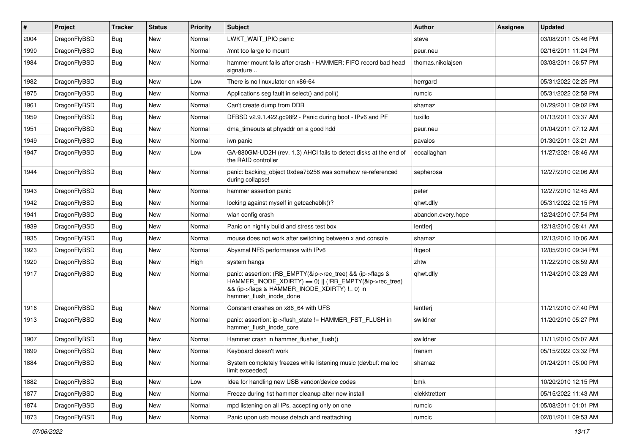| $\vert$ # | Project      | <b>Tracker</b> | <b>Status</b> | <b>Priority</b> | <b>Subject</b>                                                                                                                                                                                    | Author             | <b>Assignee</b> | <b>Updated</b>      |
|-----------|--------------|----------------|---------------|-----------------|---------------------------------------------------------------------------------------------------------------------------------------------------------------------------------------------------|--------------------|-----------------|---------------------|
| 2004      | DragonFlyBSD | <b>Bug</b>     | <b>New</b>    | Normal          | LWKT_WAIT_IPIQ panic                                                                                                                                                                              | steve              |                 | 03/08/2011 05:46 PM |
| 1990      | DragonFlyBSD | Bug            | <b>New</b>    | Normal          | /mnt too large to mount                                                                                                                                                                           | peur.neu           |                 | 02/16/2011 11:24 PM |
| 1984      | DragonFlyBSD | Bug            | New           | Normal          | hammer mount fails after crash - HAMMER: FIFO record bad head<br>signature                                                                                                                        | thomas.nikolajsen  |                 | 03/08/2011 06:57 PM |
| 1982      | DragonFlyBSD | Bug            | <b>New</b>    | Low             | There is no linuxulator on x86-64                                                                                                                                                                 | herrgard           |                 | 05/31/2022 02:25 PM |
| 1975      | DragonFlyBSD | <b>Bug</b>     | New           | Normal          | Applications seg fault in select() and poll()                                                                                                                                                     | rumcic             |                 | 05/31/2022 02:58 PM |
| 1961      | DragonFlyBSD | Bug            | <b>New</b>    | Normal          | Can't create dump from DDB                                                                                                                                                                        | shamaz             |                 | 01/29/2011 09:02 PM |
| 1959      | DragonFlyBSD | <b>Bug</b>     | New           | Normal          | DFBSD v2.9.1.422.gc98f2 - Panic during boot - IPv6 and PF                                                                                                                                         | tuxillo            |                 | 01/13/2011 03:37 AM |
| 1951      | DragonFlyBSD | <b>Bug</b>     | New           | Normal          | dma timeouts at phyaddr on a good hdd                                                                                                                                                             | peur.neu           |                 | 01/04/2011 07:12 AM |
| 1949      | DragonFlyBSD | <b>Bug</b>     | <b>New</b>    | Normal          | iwn panic                                                                                                                                                                                         | pavalos            |                 | 01/30/2011 03:21 AM |
| 1947      | DragonFlyBSD | Bug            | New           | Low             | GA-880GM-UD2H (rev. 1.3) AHCI fails to detect disks at the end of<br>the RAID controller                                                                                                          | eocallaghan        |                 | 11/27/2021 08:46 AM |
| 1944      | DragonFlyBSD | Bug            | <b>New</b>    | Normal          | panic: backing object 0xdea7b258 was somehow re-referenced<br>during collapse!                                                                                                                    | sepherosa          |                 | 12/27/2010 02:06 AM |
| 1943      | DragonFlyBSD | Bug            | <b>New</b>    | Normal          | hammer assertion panic                                                                                                                                                                            | peter              |                 | 12/27/2010 12:45 AM |
| 1942      | DragonFlyBSD | <b>Bug</b>     | New           | Normal          | locking against myself in getcacheblk()?                                                                                                                                                          | qhwt.dfly          |                 | 05/31/2022 02:15 PM |
| 1941      | DragonFlyBSD | <b>Bug</b>     | New           | Normal          | wlan config crash                                                                                                                                                                                 | abandon.every.hope |                 | 12/24/2010 07:54 PM |
| 1939      | DragonFlyBSD | Bug            | <b>New</b>    | Normal          | Panic on nightly build and stress test box                                                                                                                                                        | lentferj           |                 | 12/18/2010 08:41 AM |
| 1935      | DragonFlyBSD | <b>Bug</b>     | New           | Normal          | mouse does not work after switching between x and console                                                                                                                                         | shamaz             |                 | 12/13/2010 10:06 AM |
| 1923      | DragonFlyBSD | Bug            | <b>New</b>    | Normal          | Abysmal NFS performance with IPv6                                                                                                                                                                 | ftigeot            |                 | 12/05/2010 09:34 PM |
| 1920      | DragonFlyBSD | <b>Bug</b>     | New           | High            | system hangs                                                                                                                                                                                      | zhtw               |                 | 11/22/2010 08:59 AM |
| 1917      | DragonFlyBSD | Bug            | New           | Normal          | panic: assertion: (RB_EMPTY(&ip->rec_tree) && (ip->flags &<br>HAMMER_INODE_XDIRTY) == 0)    (!RB_EMPTY(&ip->rec_tree)<br>&& (ip->flags & HAMMER_INODE_XDIRTY) != 0) in<br>hammer_flush_inode_done | qhwt.dfly          |                 | 11/24/2010 03:23 AM |
| 1916      | DragonFlyBSD | <b>Bug</b>     | <b>New</b>    | Normal          | Constant crashes on x86_64 with UFS                                                                                                                                                               | lentferj           |                 | 11/21/2010 07:40 PM |
| 1913      | DragonFlyBSD | <b>Bug</b>     | New           | Normal          | panic: assertion: ip->flush_state != HAMMER_FST_FLUSH in<br>hammer_flush_inode_core                                                                                                               | swildner           |                 | 11/20/2010 05:27 PM |
| 1907      | DragonFlyBSD | <b>Bug</b>     | <b>New</b>    | Normal          | Hammer crash in hammer_flusher_flush()                                                                                                                                                            | swildner           |                 | 11/11/2010 05:07 AM |
| 1899      | DragonFlyBSD | <b>Bug</b>     | New           | Normal          | Keyboard doesn't work                                                                                                                                                                             | fransm             |                 | 05/15/2022 03:32 PM |
| 1884      | DragonFlyBSD | Bug            | New           | Normal          | System completely freezes while listening music (devbuf: malloc<br>limit exceeded)                                                                                                                | shamaz             |                 | 01/24/2011 05:00 PM |
| 1882      | DragonFlyBSD | <b>Bug</b>     | New           | Low             | Idea for handling new USB vendor/device codes                                                                                                                                                     | bmk                |                 | 10/20/2010 12:15 PM |
| 1877      | DragonFlyBSD | Bug            | New           | Normal          | Freeze during 1st hammer cleanup after new install                                                                                                                                                | elekktretterr      |                 | 05/15/2022 11:43 AM |
| 1874      | DragonFlyBSD | <b>Bug</b>     | New           | Normal          | mpd listening on all IPs, accepting only on one                                                                                                                                                   | rumcic             |                 | 05/08/2011 01:01 PM |
| 1873      | DragonFlyBSD | Bug            | New           | Normal          | Panic upon usb mouse detach and reattaching                                                                                                                                                       | rumcic             |                 | 02/01/2011 09:53 AM |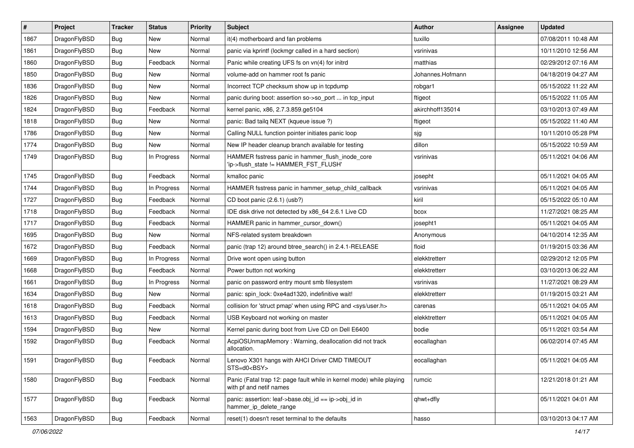| $\vert$ # | Project      | <b>Tracker</b> | <b>Status</b> | <b>Priority</b> | <b>Subject</b>                                                                                  | Author           | <b>Assignee</b> | <b>Updated</b>      |
|-----------|--------------|----------------|---------------|-----------------|-------------------------------------------------------------------------------------------------|------------------|-----------------|---------------------|
| 1867      | DragonFlyBSD | Bug            | <b>New</b>    | Normal          | it(4) motherboard and fan problems                                                              | tuxillo          |                 | 07/08/2011 10:48 AM |
| 1861      | DragonFlyBSD | <b>Bug</b>     | <b>New</b>    | Normal          | panic via kprintf (lockmgr called in a hard section)                                            | vsrinivas        |                 | 10/11/2010 12:56 AM |
| 1860      | DragonFlyBSD | <b>Bug</b>     | Feedback      | Normal          | Panic while creating UFS fs on vn(4) for initrd                                                 | matthias         |                 | 02/29/2012 07:16 AM |
| 1850      | DragonFlyBSD | Bug            | <b>New</b>    | Normal          | volume-add on hammer root fs panic                                                              | Johannes.Hofmann |                 | 04/18/2019 04:27 AM |
| 1836      | DragonFlyBSD | Bug            | <b>New</b>    | Normal          | Incorrect TCP checksum show up in tcpdump                                                       | robgar1          |                 | 05/15/2022 11:22 AM |
| 1826      | DragonFlyBSD | Bug            | New           | Normal          | panic during boot: assertion so->so_port  in tcp_input                                          | ftigeot          |                 | 05/15/2022 11:05 AM |
| 1824      | DragonFlyBSD | Bug            | Feedback      | Normal          | kernel panic, x86, 2.7.3.859.ge5104                                                             | akirchhoff135014 |                 | 03/10/2013 07:49 AM |
| 1818      | DragonFlyBSD | <b>Bug</b>     | New           | Normal          | panic: Bad tailq NEXT (kqueue issue ?)                                                          | ftigeot          |                 | 05/15/2022 11:40 AM |
| 1786      | DragonFlyBSD | <b>Bug</b>     | New           | Normal          | Calling NULL function pointer initiates panic loop                                              | sjg              |                 | 10/11/2010 05:28 PM |
| 1774      | DragonFlyBSD | Bug            | <b>New</b>    | Normal          | New IP header cleanup branch available for testing                                              | dillon           |                 | 05/15/2022 10:59 AM |
| 1749      | DragonFlyBSD | Bug            | In Progress   | Normal          | HAMMER fsstress panic in hammer flush inode core<br>'ip->flush_state != HAMMER_FST_FLUSH'       | vsrinivas        |                 | 05/11/2021 04:06 AM |
| 1745      | DragonFlyBSD | Bug            | Feedback      | Normal          | kmalloc panic                                                                                   | josepht          |                 | 05/11/2021 04:05 AM |
| 1744      | DragonFlyBSD | Bug            | In Progress   | Normal          | HAMMER fsstress panic in hammer_setup_child_callback                                            | vsrinivas        |                 | 05/11/2021 04:05 AM |
| 1727      | DragonFlyBSD | <b>Bug</b>     | Feedback      | Normal          | CD boot panic (2.6.1) (usb?)                                                                    | kiril            |                 | 05/15/2022 05:10 AM |
| 1718      | DragonFlyBSD | <b>Bug</b>     | Feedback      | Normal          | IDE disk drive not detected by x86_64 2.6.1 Live CD                                             | bcox             |                 | 11/27/2021 08:25 AM |
| 1717      | DragonFlyBSD | Bug            | Feedback      | Normal          | HAMMER panic in hammer cursor down()                                                            | josepht1         |                 | 05/11/2021 04:05 AM |
| 1695      | DragonFlyBSD | Bug            | New           | Normal          | NFS-related system breakdown                                                                    | Anonymous        |                 | 04/10/2014 12:35 AM |
| 1672      | DragonFlyBSD | <b>Bug</b>     | Feedback      | Normal          | panic (trap 12) around btree_search() in 2.4.1-RELEASE                                          | floid            |                 | 01/19/2015 03:36 AM |
| 1669      | DragonFlyBSD | Bug            | In Progress   | Normal          | Drive wont open using button                                                                    | elekktretterr    |                 | 02/29/2012 12:05 PM |
| 1668      | DragonFlyBSD | Bug            | Feedback      | Normal          | Power button not working                                                                        | elekktretterr    |                 | 03/10/2013 06:22 AM |
| 1661      | DragonFlyBSD | <b>Bug</b>     | In Progress   | Normal          | panic on password entry mount smb filesystem                                                    | vsrinivas        |                 | 11/27/2021 08:29 AM |
| 1634      | DragonFlyBSD | Bug            | New           | Normal          | panic: spin_lock: 0xe4ad1320, indefinitive wait!                                                | elekktretterr    |                 | 01/19/2015 03:21 AM |
| 1618      | DragonFlyBSD | <b>Bug</b>     | Feedback      | Normal          | collision for 'struct pmap' when using RPC and <sys user.h=""></sys>                            | carenas          |                 | 05/11/2021 04:05 AM |
| 1613      | DragonFlyBSD | Bug            | Feedback      | Normal          | USB Keyboard not working on master                                                              | elekktretterr    |                 | 05/11/2021 04:05 AM |
| 1594      | DragonFlyBSD | Bug            | New           | Normal          | Kernel panic during boot from Live CD on Dell E6400                                             | bodie            |                 | 05/11/2021 03:54 AM |
| 1592      | DragonFlyBSD | Bug            | Feedback      | Normal          | AcpiOSUnmapMemory: Warning, deallocation did not track<br>allocation.                           | eocallaghan      |                 | 06/02/2014 07:45 AM |
| 1591      | DragonFlyBSD | <b>Bug</b>     | Feedback      | Normal          | Lenovo X301 hangs with AHCI Driver CMD TIMEOUT<br>STS=d0 <bsy></bsy>                            | eocallaghan      |                 | 05/11/2021 04:05 AM |
| 1580      | DragonFlyBSD | Bug            | Feedback      | Normal          | Panic (Fatal trap 12: page fault while in kernel mode) while playing<br>with pf and netif names | rumcic           |                 | 12/21/2018 01:21 AM |
| 1577      | DragonFlyBSD | <b>Bug</b>     | Feedback      | Normal          | panic: assertion: leaf->base.obj_id == ip->obj_id in<br>hammer_ip_delete_range                  | qhwt+dfly        |                 | 05/11/2021 04:01 AM |
| 1563      | DragonFlyBSD | Bug            | Feedback      | Normal          | reset(1) doesn't reset terminal to the defaults                                                 | hasso            |                 | 03/10/2013 04:17 AM |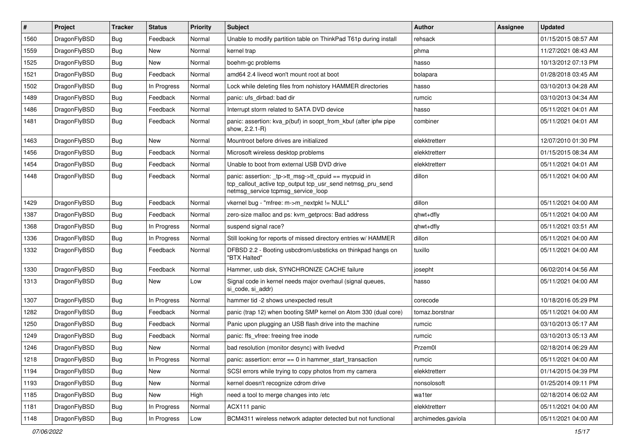| #    | Project      | <b>Tracker</b> | <b>Status</b> | <b>Priority</b> | <b>Subject</b>                                                                                                                                           | <b>Author</b>      | Assignee | <b>Updated</b>      |
|------|--------------|----------------|---------------|-----------------|----------------------------------------------------------------------------------------------------------------------------------------------------------|--------------------|----------|---------------------|
| 1560 | DragonFlyBSD | Bug            | Feedback      | Normal          | Unable to modify partition table on ThinkPad T61p during install                                                                                         | rehsack            |          | 01/15/2015 08:57 AM |
| 1559 | DragonFlyBSD | Bug            | <b>New</b>    | Normal          | kernel trap                                                                                                                                              | phma               |          | 11/27/2021 08:43 AM |
| 1525 | DragonFlyBSD | Bug            | New           | Normal          | boehm-gc problems                                                                                                                                        | hasso              |          | 10/13/2012 07:13 PM |
| 1521 | DragonFlyBSD | <b>Bug</b>     | Feedback      | Normal          | amd64 2.4 livecd won't mount root at boot                                                                                                                | bolapara           |          | 01/28/2018 03:45 AM |
| 1502 | DragonFlyBSD | Bug            | In Progress   | Normal          | Lock while deleting files from nohistory HAMMER directories                                                                                              | hasso              |          | 03/10/2013 04:28 AM |
| 1489 | DragonFlyBSD | <b>Bug</b>     | Feedback      | Normal          | panic: ufs dirbad: bad dir                                                                                                                               | rumcic             |          | 03/10/2013 04:34 AM |
| 1486 | DragonFlyBSD | Bug            | Feedback      | Normal          | Interrupt storm related to SATA DVD device                                                                                                               | hasso              |          | 05/11/2021 04:01 AM |
| 1481 | DragonFlyBSD | Bug            | Feedback      | Normal          | panic: assertion: kva p(buf) in soopt from kbuf (after ipfw pipe<br>show, 2.2.1-R)                                                                       | combiner           |          | 05/11/2021 04:01 AM |
| 1463 | DragonFlyBSD | Bug            | New           | Normal          | Mountroot before drives are initialized                                                                                                                  | elekktretterr      |          | 12/07/2010 01:30 PM |
| 1456 | DragonFlyBSD | Bug            | Feedback      | Normal          | Microsoft wireless desktop problems                                                                                                                      | elekktretterr      |          | 01/15/2015 08:34 AM |
| 1454 | DragonFlyBSD | Bug            | Feedback      | Normal          | Unable to boot from external USB DVD drive                                                                                                               | elekktretterr      |          | 05/11/2021 04:01 AM |
| 1448 | DragonFlyBSD | Bug            | Feedback      | Normal          | panic: assertion: tp->tt_msg->tt_cpuid == mycpuid in<br>tcp_callout_active tcp_output tcp_usr_send netmsg_pru_send<br>netmsg_service tcpmsg_service_loop | dillon             |          | 05/11/2021 04:00 AM |
| 1429 | DragonFlyBSD | Bug            | Feedback      | Normal          | vkernel bug - "mfree: m->m_nextpkt != NULL"                                                                                                              | dillon             |          | 05/11/2021 04:00 AM |
| 1387 | DragonFlyBSD | Bug            | Feedback      | Normal          | zero-size malloc and ps: kvm_getprocs: Bad address                                                                                                       | qhwt+dfly          |          | 05/11/2021 04:00 AM |
| 1368 | DragonFlyBSD | Bug            | In Progress   | Normal          | suspend signal race?                                                                                                                                     | qhwt+dfly          |          | 05/11/2021 03:51 AM |
| 1336 | DragonFlyBSD | Bug            | In Progress   | Normal          | Still looking for reports of missed directory entries w/ HAMMER                                                                                          | dillon             |          | 05/11/2021 04:00 AM |
| 1332 | DragonFlyBSD | Bug            | Feedback      | Normal          | DFBSD 2.2 - Booting usbcdrom/usbsticks on thinkpad hangs on<br>"BTX Halted"                                                                              | tuxillo            |          | 05/11/2021 04:00 AM |
| 1330 | DragonFlyBSD | Bug            | Feedback      | Normal          | Hammer, usb disk, SYNCHRONIZE CACHE failure                                                                                                              | josepht            |          | 06/02/2014 04:56 AM |
| 1313 | DragonFlyBSD | Bug            | <b>New</b>    | Low             | Signal code in kernel needs major overhaul (signal queues,<br>si code, si addr)                                                                          | hasso              |          | 05/11/2021 04:00 AM |
| 1307 | DragonFlyBSD | Bug            | In Progress   | Normal          | hammer tid -2 shows unexpected result                                                                                                                    | corecode           |          | 10/18/2016 05:29 PM |
| 1282 | DragonFlyBSD | Bug            | Feedback      | Normal          | panic (trap 12) when booting SMP kernel on Atom 330 (dual core)                                                                                          | tomaz.borstnar     |          | 05/11/2021 04:00 AM |
| 1250 | DragonFlyBSD | Bug            | Feedback      | Normal          | Panic upon plugging an USB flash drive into the machine                                                                                                  | rumcic             |          | 03/10/2013 05:17 AM |
| 1249 | DragonFlyBSD | Bug            | Feedback      | Normal          | panic: ffs_vfree: freeing free inode                                                                                                                     | rumcic             |          | 03/10/2013 05:13 AM |
| 1246 | DragonFlyBSD | Bug            | New           | Normal          | bad resolution (monitor desync) with livedvd                                                                                                             | Przem0l            |          | 02/18/2014 06:29 AM |
| 1218 | DragonFlyBSD | <b>Bug</b>     | In Progress   | Normal          | panic: assertion: error == 0 in hammer_start_transaction                                                                                                 | rumcic             |          | 05/11/2021 04:00 AM |
| 1194 | DragonFlyBSD | <b>Bug</b>     | New           | Normal          | SCSI errors while trying to copy photos from my camera                                                                                                   | elekktretterr      |          | 01/14/2015 04:39 PM |
| 1193 | DragonFlyBSD | <b>Bug</b>     | New           | Normal          | kernel doesn't recognize cdrom drive                                                                                                                     | nonsolosoft        |          | 01/25/2014 09:11 PM |
| 1185 | DragonFlyBSD | <b>Bug</b>     | New           | High            | need a tool to merge changes into /etc                                                                                                                   | wa1ter             |          | 02/18/2014 06:02 AM |
| 1181 | DragonFlyBSD | <b>Bug</b>     | In Progress   | Normal          | ACX111 panic                                                                                                                                             | elekktretterr      |          | 05/11/2021 04:00 AM |
| 1148 | DragonFlyBSD | <b>Bug</b>     | In Progress   | Low             | BCM4311 wireless network adapter detected but not functional                                                                                             | archimedes.gaviola |          | 05/11/2021 04:00 AM |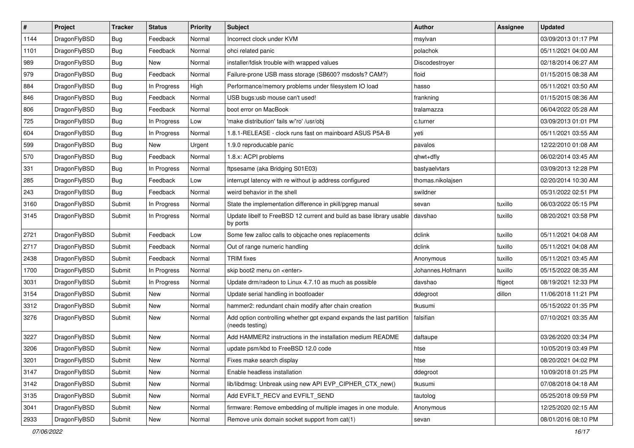| $\pmb{\#}$ | Project      | <b>Tracker</b> | <b>Status</b> | <b>Priority</b> | <b>Subject</b>                                                                          | <b>Author</b>     | <b>Assignee</b> | <b>Updated</b>      |
|------------|--------------|----------------|---------------|-----------------|-----------------------------------------------------------------------------------------|-------------------|-----------------|---------------------|
| 1144       | DragonFlyBSD | Bug            | Feedback      | Normal          | Incorrect clock under KVM                                                               | msylvan           |                 | 03/09/2013 01:17 PM |
| 1101       | DragonFlyBSD | Bug            | Feedback      | Normal          | ohci related panic                                                                      | polachok          |                 | 05/11/2021 04:00 AM |
| 989        | DragonFlyBSD | Bug            | New           | Normal          | installer/fdisk trouble with wrapped values                                             | Discodestroyer    |                 | 02/18/2014 06:27 AM |
| 979        | DragonFlyBSD | Bug            | Feedback      | Normal          | Failure-prone USB mass storage (SB600? msdosfs? CAM?)                                   | floid             |                 | 01/15/2015 08:38 AM |
| 884        | DragonFlyBSD | Bug            | In Progress   | High            | Performance/memory problems under filesystem IO load                                    | hasso             |                 | 05/11/2021 03:50 AM |
| 846        | DragonFlyBSD | <b>Bug</b>     | Feedback      | Normal          | USB bugs:usb mouse can't used!                                                          | frankning         |                 | 01/15/2015 08:36 AM |
| 806        | DragonFlyBSD | Bug            | Feedback      | Normal          | boot error on MacBook                                                                   | tralamazza        |                 | 06/04/2022 05:28 AM |
| 725        | DragonFlyBSD | Bug            | In Progress   | Low             | 'make distribution' fails w/'ro' /usr/obj                                               | c.turner          |                 | 03/09/2013 01:01 PM |
| 604        | DragonFlyBSD | Bug            | In Progress   | Normal          | 1.8.1-RELEASE - clock runs fast on mainboard ASUS P5A-B                                 | yeti              |                 | 05/11/2021 03:55 AM |
| 599        | DragonFlyBSD | Bug            | <b>New</b>    | Urgent          | 1.9.0 reproducable panic                                                                | pavalos           |                 | 12/22/2010 01:08 AM |
| 570        | DragonFlyBSD | Bug            | Feedback      | Normal          | 1.8.x: ACPI problems                                                                    | qhwt+dfly         |                 | 06/02/2014 03:45 AM |
| 331        | DragonFlyBSD | Bug            | In Progress   | Normal          | ftpsesame (aka Bridging S01E03)                                                         | bastyaelvtars     |                 | 03/09/2013 12:28 PM |
| 285        | DragonFlyBSD | Bug            | Feedback      | Low             | interrupt latency with re without ip address configured                                 | thomas.nikolajsen |                 | 02/20/2014 10:30 AM |
| 243        | DragonFlyBSD | Bug            | Feedback      | Normal          | weird behavior in the shell                                                             | swildner          |                 | 05/31/2022 02:51 PM |
| 3160       | DragonFlyBSD | Submit         | In Progress   | Normal          | State the implementation difference in pkill/pgrep manual                               | sevan             | tuxillo         | 06/03/2022 05:15 PM |
| 3145       | DragonFlyBSD | Submit         | In Progress   | Normal          | Update libelf to FreeBSD 12 current and build as base library usable<br>by ports        | davshao           | tuxillo         | 08/20/2021 03:58 PM |
| 2721       | DragonFlyBSD | Submit         | Feedback      | Low             | Some few zalloc calls to objcache ones replacements                                     | dclink            | tuxillo         | 05/11/2021 04:08 AM |
| 2717       | DragonFlyBSD | Submit         | Feedback      | Normal          | Out of range numeric handling                                                           | dclink            | tuxillo         | 05/11/2021 04:08 AM |
| 2438       | DragonFlyBSD | Submit         | Feedback      | Normal          | <b>TRIM</b> fixes                                                                       | Anonymous         | tuxillo         | 05/11/2021 03:45 AM |
| 1700       | DragonFlyBSD | Submit         | In Progress   | Normal          | skip boot2 menu on <enter></enter>                                                      | Johannes.Hofmann  | tuxillo         | 05/15/2022 08:35 AM |
| 3031       | DragonFlyBSD | Submit         | In Progress   | Normal          | Update drm/radeon to Linux 4.7.10 as much as possible                                   | davshao           | ftigeot         | 08/19/2021 12:33 PM |
| 3154       | DragonFlyBSD | Submit         | <b>New</b>    | Normal          | Update serial handling in bootloader                                                    | ddegroot          | dillon          | 11/06/2018 11:21 PM |
| 3312       | DragonFlyBSD | Submit         | <b>New</b>    | Normal          | hammer2: redundant chain modify after chain creation                                    | tkusumi           |                 | 05/15/2022 01:35 PM |
| 3276       | DragonFlyBSD | Submit         | New           | Normal          | Add option controlling whether gpt expand expands the last partition<br>(needs testing) | falsifian         |                 | 07/10/2021 03:35 AM |
| 3227       | DragonFlyBSD | Submit         | <b>New</b>    | Normal          | Add HAMMER2 instructions in the installation medium README                              | daftaupe          |                 | 03/26/2020 03:34 PM |
| 3206       | DragonFlyBSD | Submit         | <b>New</b>    | Normal          | update psm/kbd to FreeBSD 12.0 code                                                     | htse              |                 | 10/05/2019 03:49 PM |
| 3201       | DragonFlyBSD | Submit         | New           | Normal          | Fixes make search display                                                               | htse              |                 | 08/20/2021 04:02 PM |
| 3147       | DragonFlyBSD | Submit         | New           | Normal          | Enable headless installation                                                            | ddegroot          |                 | 10/09/2018 01:25 PM |
| 3142       | DragonFlyBSD | Submit         | New           | Normal          | lib/libdmsg: Unbreak using new API EVP_CIPHER_CTX_new()                                 | tkusumi           |                 | 07/08/2018 04:18 AM |
| 3135       | DragonFlyBSD | Submit         | New           | Normal          | Add EVFILT_RECV and EVFILT_SEND                                                         | tautolog          |                 | 05/25/2018 09:59 PM |
| 3041       | DragonFlyBSD | Submit         | New           | Normal          | firmware: Remove embedding of multiple images in one module.                            | Anonymous         |                 | 12/25/2020 02:15 AM |
| 2933       | DragonFlyBSD | Submit         | New           | Normal          | Remove unix domain socket support from cat(1)                                           | sevan             |                 | 08/01/2016 08:10 PM |